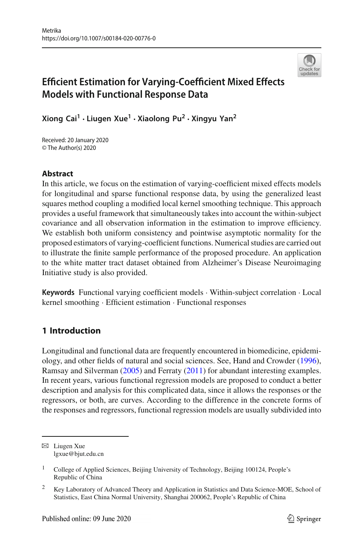

# **Efficient Estimation for Varying-Coefficient Mixed Effects Models with Functional Response Data**

**Xiong Cai1 · Liugen Xue<sup>1</sup> · Xiaolong Pu<sup>2</sup> · Xingyu Yan2**

Received: 20 January 2020 © The Author(s) 2020

## **Abstract**

In this article, we focus on the estimation of varying-coefficient mixed effects models for longitudinal and sparse functional response data, by using the generalized least squares method coupling a modified local kernel smoothing technique. This approach provides a useful framework that simultaneously takes into account the within-subject covariance and all observation information in the estimation to improve efficiency. We establish both uniform consistency and pointwise asymptotic normality for the proposed estimators of varying-coefficient functions. Numerical studies are carried out to illustrate the finite sample performance of the proposed procedure. An application to the white matter tract dataset obtained from Alzheimer's Disease Neuroimaging Initiative study is also provided.

**Keywords** Functional varying coefficient models · Within-subject correlation · Local kernel smoothing · Efficient estimation · Functional responses

# **1 Introduction**

Longitudinal and functional data are frequently encountered in biomedicine, epidemiology, and other fields of natural and social sciences. See, Hand and Crowde[r](#page-27-0) [\(1996](#page-27-0)), Ramsay and Silverma[n](#page-27-1) [\(2005](#page-27-1)) and Ferrat[y](#page-27-2) [\(2011](#page-27-2)) for abundant interesting examples. In recent years, various functional regression models are proposed to conduct a better description and analysis for this complicated data, since it allows the responses or the regressors, or both, are curves. According to the difference in the concrete forms of the responses and regressors, functional regression models are usually subdivided into

 $\boxtimes$  Liugen Xue lgxue@bjut.edu.cn

<sup>&</sup>lt;sup>1</sup> College of Applied Sciences, Beijing University of Technology, Beijing 100124, People's Republic of China

<sup>&</sup>lt;sup>2</sup> Key Laboratory of Advanced Theory and Application in Statistics and Data Science-MOE, School of Statistics, East China Normal University, Shanghai 200062, People's Republic of China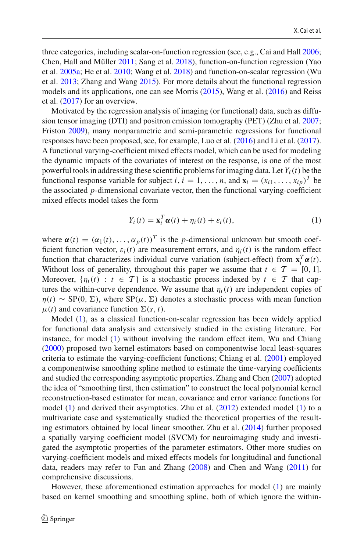three categories, including scalar-on-function regression (see, e.g., Cai and Hal[l](#page-26-0) [2006](#page-26-0); Chen, Hall and Mülle[r](#page-26-1) [2011;](#page-26-1) Sang et al[.](#page-27-3) [2018](#page-27-3)), function-on-function regression (Yao et al[.](#page-27-4) [2005a;](#page-27-4) He et al[.](#page-27-5) [2010;](#page-27-5) Wang et al[.](#page-27-6) [2018\)](#page-27-6) and function-on-scalar regression (Wu et al[.](#page-27-7) [2013;](#page-27-7) Zhang and Wan[g](#page-27-8) [2015\)](#page-27-8). For more details about the functional regression models and its applications, one can see Morri[s](#page-27-9) [\(2015](#page-27-9)), Wang et al[.](#page-27-10) [\(2016\)](#page-27-10) and Reiss et al[.](#page-27-11) [\(2017\)](#page-27-11) for an overview.

Motivated by the regression analysis of imaging (or functional) data, such as diffusion tensor imaging (DTI) and positron emission tomography (PET) (Zhu et al[.](#page-28-0) [2007](#page-28-0); Fristo[n](#page-27-12) [2009](#page-27-12)), many nonparametric and semi-parametric regressions for functional responses have been proposed, see, for example, Luo et al[.](#page-27-13) [\(2016](#page-27-13)) and Li et al[.](#page-27-14) [\(2017](#page-27-14)). A functional varying-coefficient mixed effects model, which can be used for modeling the dynamic impacts of the covariates of interest on the response, is one of the most powerful tools in addressing these scientific problems for imaging data. Let  $Y_i(t)$  be the functional response variable for subject *i*,  $i = 1, ..., n$ , and  $\mathbf{x}_i = (x_{i1}, ..., x_{in})^T$  be the associated *p*-dimensional covariate vector, then the functional varying-coefficient mixed effects model takes the form

<span id="page-1-0"></span>
$$
Y_i(t) = \mathbf{x}_i^T \boldsymbol{\alpha}(t) + \eta_i(t) + \varepsilon_i(t),
$$
\n(1)

where  $\alpha(t) = (\alpha_1(t), \dots, \alpha_p(t))^T$  is the *p*-dimensional unknown but smooth coefficient function vector,  $\varepsilon_i(t)$  are measurement errors, and  $\eta_i(t)$  is the random effect function that characterizes individual curve variation (subject-effect) from  $\mathbf{x}_i^T \boldsymbol{\alpha}(t)$ . Without loss of generality, throughout this paper we assume that  $t \in \mathcal{T} = [0, 1]$ . Moreover,  $\{\eta_i(t) : t \in \mathcal{T}\}\$ is a stochastic process indexed by  $t \in \mathcal{T}$  that captures the within-curve dependence. We assume that  $\eta_i(t)$  are independent copies of  $\eta(t) \sim SP(0, \Sigma)$ , where  $SP(\mu, \Sigma)$  denotes a stochastic process with mean function  $\mu(t)$  and covariance function  $\Sigma(s, t)$ .

Model [\(1\)](#page-1-0), as a classical function-on-scalar regression has been widely applied for functional data analysis and extensively studied in the existing literature. For instance, for model [\(1\)](#page-1-0) without involving the random effect item, Wu and Chian[g](#page-27-15) [\(2000\)](#page-27-15) proposed two kernel estimators based on componentwise local least-squares criteria to estimate the varying-coefficient functions; Chiang et al[.](#page-27-16) [\(2001\)](#page-27-16) employed a componentwise smoothing spline method to estimate the time-varying coefficients and studied the corresponding asymptotic properties. Zhang and Che[n](#page-27-17) [\(2007](#page-27-17)) adopted the idea of "smoothing first, then estimation" to construct the local polynomial kernel reconstruction-based estimator for mean, covariance and error variance functions for model  $(1)$  and derived their asymptotics[.](#page-27-18) Zhu et al.  $(2012)$  $(2012)$  extended model  $(1)$  to a multivariate case and systematically studied the theoretical properties of the resulting estimators obtained by local linear smoother. Zhu et al[.](#page-27-19) [\(2014](#page-27-19)) further proposed a spatially varying coefficient model (SVCM) for neuroimaging study and investigated the asymptotic properties of the parameter estimators. Other more studies on varying-coefficient models and mixed effects models for longitudinal and functional data, readers may refer to Fan and Zhan[g](#page-27-20) [\(2008\)](#page-27-20) and Chen and Wan[g](#page-26-2) [\(2011](#page-26-2)) for comprehensive discussions.

However, these aforementioned estimation approaches for model [\(1\)](#page-1-0) are mainly based on kernel smoothing and smoothing spline, both of which ignore the within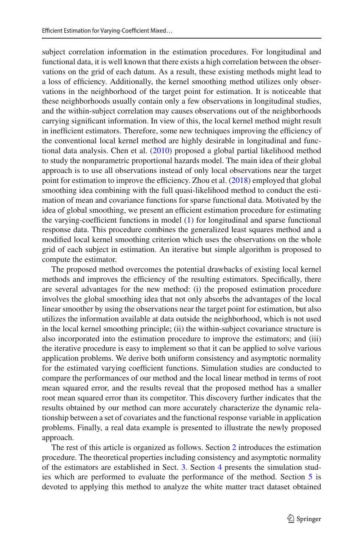subject correlation information in the estimation procedures. For longitudinal and functional data, it is well known that there exists a high correlation between the observations on the grid of each datum. As a result, these existing methods might lead to a loss of efficiency. Additionally, the kernel smoothing method utilizes only observations in the neighborhood of the target point for estimation. It is noticeable that these neighborhoods usually contain only a few observations in longitudinal studies, and the within-subject correlation may causes observations out of the neighborhoods carrying significant information. In view of this, the local kernel method might result in inefficient estimators. Therefore, some new techniques improving the efficiency of the conventional local kernel method are highly desirable in longitudinal and functional data analysis. Chen et al[.](#page-26-3) [\(2010](#page-26-3)) proposed a global partial likelihood method to study the nonparametric proportional hazards model. The main idea of their global approach is to use all observations instead of only local observations near the target point for estimation to improve the efficiency. Zhou et al[.](#page-27-21) [\(2018\)](#page-27-21) employed that global smoothing idea combining with the full quasi-likelihood method to conduct the estimation of mean and covariance functions for sparse functional data. Motivated by the idea of global smoothing, we present an efficient estimation procedure for estimating the varying-coefficient functions in model [\(1\)](#page-1-0) for longitudinal and sparse functional response data. This procedure combines the generalized least squares method and a modified local kernel smoothing criterion which uses the observations on the whole grid of each subject in estimation. An iterative but simple algorithm is proposed to compute the estimator.

The proposed method overcomes the potential drawbacks of existing local kernel methods and improves the efficiency of the resulting estimators. Specifically, there are several advantages for the new method: (i) the proposed estimation procedure involves the global smoothing idea that not only absorbs the advantages of the local linear smoother by using the observations near the target point for estimation, but also utilizes the information available at data outside the neighborhood, which is not used in the local kernel smoothing principle; (ii) the within-subject covariance structure is also incorporated into the estimation procedure to improve the estimators; and (iii) the iterative procedure is easy to implement so that it can be applied to solve various application problems. We derive both uniform consistency and asymptotic normality for the estimated varying coefficient functions. Simulation studies are conducted to compare the performances of our method and the local linear method in terms of root mean squared error, and the results reveal that the proposed method has a smaller root mean squared error than its competitor. This discovery further indicates that the results obtained by our method can more accurately characterize the dynamic relationship between a set of covariates and the functional response variable in application problems. Finally, a real data example is presented to illustrate the newly proposed approach.

The rest of this article is organized as follows. Section [2](#page-3-0) introduces the estimation procedure. The theoretical properties including consistency and asymptotic normality of the estimators are established in Sect. [3.](#page-7-0) Section [4](#page-8-0) presents the simulation studies which are performed to evaluate the performance of the method. Section [5](#page-12-0) is devoted to applying this method to analyze the white matter tract dataset obtained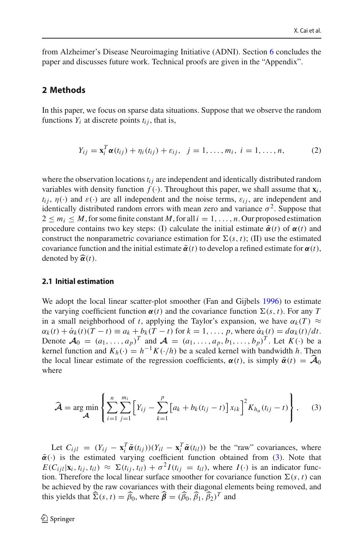from Alzheimer's Disease Neuroimaging Initiative (ADNI). Section [6](#page-14-0) concludes the paper and discusses future work. Technical proofs are given in the "Appendix".

#### <span id="page-3-0"></span>**2 Methods**

In this paper, we focus on sparse data situations. Suppose that we observe the random functions  $Y_i$  at discrete points  $t_{ij}$ , that is,

<span id="page-3-3"></span>
$$
Y_{ij} = \mathbf{x}_i^T \alpha(t_{ij}) + \eta_i(t_{ij}) + \varepsilon_{ij}, \ \ j = 1, ..., m_i, \ i = 1, ..., n,
$$
 (2)

where the observation locations  $t_{ij}$  are independent and identically distributed random variables with density function  $f(.)$ . Throughout this paper, we shall assume that  $\mathbf{x}_i$ ,  $t_{ij}$ ,  $\eta(\cdot)$  and  $\varepsilon(\cdot)$  are all independent and the noise terms,  $\varepsilon_{ij}$ , are independent and identically distributed random errors with mean zero and variance  $\sigma^2$ . Suppose that  $2 \le m_i \le M$ , for some finite constant M, for all  $i = 1, \ldots, n$ . Our proposed estimation procedure contains two key steps: (I) calculate the initial estimate  $\tilde{\alpha}(t)$  of  $\alpha(t)$  and construct the nonparametric covariance estimation for  $\Sigma(s, t)$ ; (II) use the estimated covariance function and the initial estimate  $\tilde{\alpha}(t)$  to develop a refined estimate for  $\alpha(t)$ , denoted by  $\hat{\alpha}(t)$ . covariance function and the initial estimate  $\tilde{\alpha}(t)$  to develop a refined estimate for  $\alpha(t)$ , *denoted by*  $\hat{\alpha}(t)$ .

#### <span id="page-3-2"></span>**2.1 Initial estimation**

We adopt the local linear [s](#page-27-22)catter-plot smoother (Fan and Gijbels [1996\)](#page-27-22) to estimate the varying coefficient function  $\alpha(t)$  and the covariance function  $\Sigma(s, t)$ . For any *T* in a small neighborhood of *t*, applying the Taylor's expansion, we have  $\alpha_k(T) \approx$  $\alpha_k(t) + \dot{\alpha}_k(t)$   $(T - t) \equiv a_k + b_k(T - t)$  for  $k = 1, \ldots, p$ , where  $\dot{\alpha}_k(t) = d\alpha_k(t)/dt$ . Denote  $\mathcal{A}_0 = (a_1, \ldots, a_p)^T$  and  $\mathcal{A} = (a_1, \ldots, a_p, b_1, \ldots, b_p)^T$ . Let  $K(\cdot)$  be a kernel function and  $K_h(\cdot) = h^{-1}K(\cdot/h)$  be a scaled kernel with bandwidth *h*. Then  $\alpha_k(t) + \alpha_k(t)(T - t) \equiv a_k + b_k(T - t)$  for  $k = 1, ..., p$ , where  $\alpha_k(t) = d\alpha_k(t)/dt$ .<br>Denote  $\mathcal{A}_0 = (a_1, ..., a_p)^T$  and  $\mathcal{A} = (a_1, ..., a_p, b_1, ..., b_p)^T$ . Let  $K(\cdot)$  be kernel function and  $K_h(\cdot) = h^{-1}K(\cdot/h)$  be a scaled kernel with bandwidth *h*. Th stimate of the regression coefficients,  $\alpha(t)$ , is simply  $\alpha(t) = A_0$ where

<span id="page-3-1"></span>ere  
\n
$$
\hat{\mathcal{A}} = \arg \min_{\mathcal{A}} \left\{ \sum_{i=1}^{n} \sum_{j=1}^{m_i} \left[ Y_{ij} - \sum_{k=1}^{p} \left[ a_k + b_k (t_{ij} - t) \right] x_{ik} \right]^2 K_{h_\alpha} (t_{ij} - t) \right\},
$$
\n(3)

Let  $C_{ijl} = (Y_{ij} - \mathbf{x}_i^T \tilde{\boldsymbol{\alpha}}(t_{ij})) (Y_{il} - \mathbf{x}_i^T \tilde{\boldsymbol{\alpha}}(t_{il}))$  be the "raw" covariances, where  $\tilde{\alpha}(\cdot)$  is the estimated varying coefficient function obtained from [\(3\)](#page-3-1). Note that  $E(C_{ijl}|\mathbf{x}_i, t_{ij}, t_{il}) \approx \Sigma(t_{ij}, t_{il}) + \sigma^2 I(t_{ij} = t_{il})$ , where  $I(\cdot)$  is an indicator function. Therefore the local linear surface smoother for covariance function  $\Sigma(s, t)$  can be achieved by the raw covariances with their diagonal elements being removed, and  $E(C_{ijl}|\mathbf{x}_i, t_{ij}, t_{il}) \approx \Sigma(t_{ij}, t_{il}) + \sigma^2$ <br>tion. Therefore the local linear surface<br>be achieved by the raw covariances withis yields that  $\hat{\Sigma}(s, t) = \hat{\beta}_0$ , where  $\hat{\beta}$  $\widehat{\Sigma}(s,t) = \widehat{\beta}_0$ , where  $\widehat{\boldsymbol{\beta}} = (\widehat{\beta}_0, \widehat{\beta}_1, \widehat{\beta}_2)^T$  and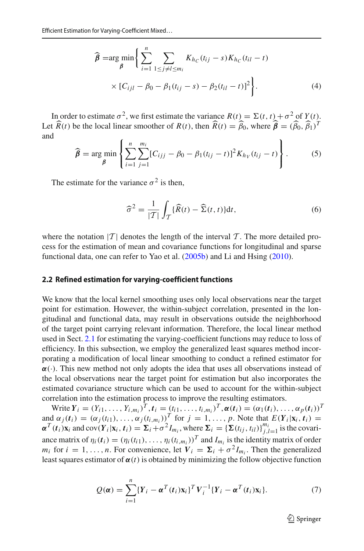$$
\widehat{\beta} = \arg \min_{\beta} \left\{ \sum_{i=1}^{n} \sum_{1 \le j \ne l \le m_i} K_{h_C}(t_{ij} - s) K_{h_C}(t_{il} - t) \right. \times [C_{ijl} - \beta_0 - \beta_1(t_{ij} - s) - \beta_2(t_{il} - t)]^2 \bigg\}.
$$
\n(4)

In order to estimate  $\sigma^2$ , we first estimate the variance  $R(t) = \Sigma(t, t) + \sigma^2$  of  $Y(t)$ . In order to estimate  $\sigma^2$ , we first estimate the variance  $R(t) = \Sigma(t, t) + \sigma^2$  of  $Y(t)$ <br>Let  $\hat{R}(t)$  be the local linear smoother of  $R(t)$ , then  $\hat{R}(t) = \hat{\beta}_0$ , where  $\hat{\beta} = (\hat{\beta}_0, \hat{\beta}_1)^T$ and  $\sigma$ <sup> $\sim$ </sup> ⎫ $^+$ 

<span id="page-4-1"></span>
$$
\widehat{\beta} = \underset{\beta}{\arg \min} \left\{ \sum_{i=1}^{n} \sum_{j=1}^{m_i} [C_{ijj} - \beta_0 - \beta_1(t_{ij} - t)]^2 K_{h_V}(t_{ij} - t) \right\}.
$$
 (5)

The estimate for the variance  $\sigma^2$  is then,

<span id="page-4-2"></span><span id="page-4-0"></span>riance 
$$
\sigma^2
$$
 is then,  
\n
$$
\widehat{\sigma}^2 = \frac{1}{|T|} \int_T \{\widehat{R}(t) - \widehat{\Sigma}(t, t)\} dt,
$$
\n(6)

where the notation  $|T|$  denotes the length of the interval T. The more detailed process for the estimation of mean and covariance functions for longitudinal and sparse functional data, one can refer to Yao et al[.](#page-27-23) [\(2005b](#page-27-23)) and Li and Hsin[g](#page-27-24) [\(2010\)](#page-27-24).

#### **2.2 Refined estimation for varying-coefficient functions**

We know that the local kernel smoothing uses only local observations near the target point for estimation. However, the within-subject correlation, presented in the longitudinal and functional data, may result in observations outside the neighborhood of the target point carrying relevant information. Therefore, the local linear method used in Sect. [2.1](#page-3-2) for estimating the varying-coefficient functions may reduce to loss of efficiency. In this subsection, we employ the generalized least squares method incorporating a modification of local linear smoothing to conduct a refined estimator for  $\alpha(\cdot)$ . This new method not only adopts the idea that uses all observations instead of the local observations near the target point for estimation but also incorporates the estimated covariance structure which can be used to account for the within-subject correlation into the estimation process to improve the resulting estimators.

Write  $Y_i = (Y_{i1}, \ldots, Y_{i,m_i})^T$ ,  $t_i = (t_{i1}, \ldots, t_{i,m_i})^T$ ,  $\alpha(t_i) = (\alpha_1(t_i), \ldots, \alpha_p(t_i))^T$  $\alpha_j(t_i) = (\alpha_j(t_{i1}), \dots, \alpha_j(t_{i,m_i}))$ <sup>T</sup> for  $j = 1, \dots, p$ . Note that  $E(Y_i|\mathbf{x}_i, t_i) =$  $\alpha^T(t_i)$ **x**<sub>i</sub> and cov( $Y_i$ |**x**<sub>i</sub>,  $t_i$ ) =  $\Sigma_i + \sigma^2 I_{m_i}$ , where  $\Sigma_i = {\Sigma(t_{ij}, t_{il})}_{j,l=1}^{m_i}$  is the covariance matrix of  $\eta_i(t_i) = (\eta_i(t_{i1}), \dots, \eta_i(t_{i,m_i}))^T$  and  $I_{m_i}$  is the identity matrix of order *m<sub>i</sub>* for  $i = 1, ..., n$ . For convenience, let  $V_i = \Sigma_i + \sigma^2 I_m$ . Then the generalized

<span id="page-4-3"></span>least squares estimator of 
$$
\boldsymbol{\alpha}(t)
$$
 is obtained by minimizing the follow objective function  
\n
$$
Q(\boldsymbol{\alpha}) = \sum_{i=1}^{n} \{Y_i - \boldsymbol{\alpha}^T(t_i)\mathbf{x}_i\}^T V_i^{-1} \{Y_i - \boldsymbol{\alpha}^T(t_i)\mathbf{x}_i\}.
$$
\n(7)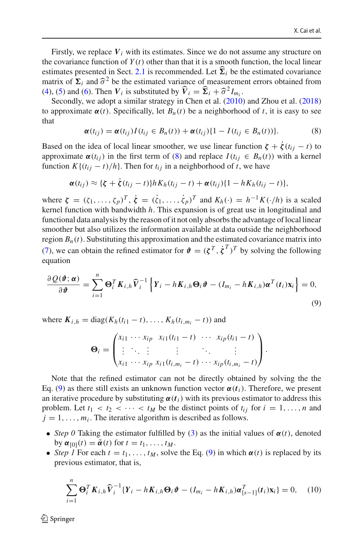Firstly, we replace *V<sup>i</sup>* with its estimates. Since we do not assume any structure on the covariance function of  $Y(t)$  other than that it is a smooth function, the local linear estimates presented in Sect. [2.1](#page-3-2) is recommended. Let  $\Sigma_i$  be the estimated covariance the covariance function of  $\Sigma_i$  and  $\hat{\sigma}$ matrix of  $\Sigma_i$  and  $\hat{\sigma}^2$  be the estimated variance of measurement errors obtained from estimates presented in Sect. 2.1 is recommended. Let  $\hat{\Sigma}_i$  be the matrix of  $\Sigma_i$  and  $\hat{\sigma}^2$  be the estimated variance of measureme [\(4\)](#page-4-0), [\(5\)](#page-4-1) and [\(6\)](#page-4-2). Then  $V_i$  is substituted by  $\hat{V}_i = \hat{\Sigma}_i + \hat{\sigma}^2 I_{m_i}$ .

Secondly, we adopt a similar strategy in Chen et al[.](#page-26-3) [\(2010\)](#page-26-3) and Zhou et al[.](#page-27-21) [\(2018\)](#page-27-21) to approximate  $\alpha(t)$ . Specifically, let  $B_n(t)$  be a neighborhood of *t*, it is easy to see that

<span id="page-5-0"></span>
$$
\boldsymbol{\alpha}(t_{ij}) = \boldsymbol{\alpha}(t_{ij}) I(t_{ij} \in B_n(t)) + \boldsymbol{\alpha}(t_{ij}) \{1 - I(t_{ij} \in B_n(t))\}.
$$
 (8)

Based on the idea of local linear smoother, we use linear function  $\zeta + \zeta(t_{ij} - t)$  to approximate  $\alpha(t_{ij})$  in the first term of [\(8\)](#page-5-0) and replace  $I(t_{ij} \in B_n(t))$  with a kernel function  $K\{(t_{ij} - t)/h\}$ . Then for  $t_{ij}$  in a neighborhood of *t*, we have

$$
\boldsymbol{\alpha}(t_{ij}) \approx \{\boldsymbol{\zeta} + \boldsymbol{\dot{\zeta}}(t_{ij}-t)\}hK_h(t_{ij}-t) + \boldsymbol{\alpha}(t_{ij})\{1-hK_h(t_{ij}-t)\},\
$$

where  $\zeta = (\zeta_1, \ldots, \zeta_p)^T$ ,  $\dot{\zeta} = (\dot{\zeta}_1, \ldots, \dot{\zeta}_p)^T$  and  $K_h(\cdot) = h^{-1}K(\cdot/h)$  is a scaled kernel function with bandwidth *h*. This expansion is of great use in longitudinal and functional data analysis by the reason of it not only absorbs the advantage of local linear smoother but also utilizes the information available at data outside the neighborhood region  $B_n(t)$ . Substituting this approximation and the estimated covariance matrix into [\(7\)](#page-4-3), we can obtain the refined estimator for  $\mathbf{\hat{v}} = (\zeta^T, \dot{\zeta}^T)^T$  by solving the following equation<br>  $\frac{\partial Q(\mathbf{\hat{v}}; \alpha)}{\partial \mathbf{\hat{v}}} = \sum_{i=1}^n \mathbf{\Theta}_i^T \mathbf{K}_{i,h} \hat{\mathbf{V}}_i^{-1} \left\{ \mathbf{Y}_i - h \mathbf{K}_{i,h} \mathbf{\Theta}_i \mathbf{\hat{v}} - (I_{m_i}$ equation timator for  $\mathbf{\hat{v}} = (\xi^T, \dot{\xi}^T)^T$  by solving the fol-

$$
\frac{\partial Q(\boldsymbol{\vartheta}; \boldsymbol{\alpha})}{\partial \boldsymbol{\vartheta}} = \sum_{i=1}^{n} \boldsymbol{\Theta}_{i}^{T} \boldsymbol{K}_{i,h} \widehat{\boldsymbol{V}}_{i}^{-1} \left\{ \boldsymbol{Y}_{i} - h \boldsymbol{K}_{i,h} \boldsymbol{\Theta}_{i} \boldsymbol{\vartheta} - (I_{m_{i}} - h \boldsymbol{K}_{i,h}) \boldsymbol{\alpha}^{T}(t_{i}) \boldsymbol{x}_{i} \right\} = 0,
$$
\n(9)

where  $K_{i,h} = \text{diag}(K_h(t_{i1} - t), \dots, K_h(t_{i,m_i} - t))$  and

<span id="page-5-1"></span>
$$
\mathbf{\Theta}_i = \begin{pmatrix} x_{i1} \cdots x_{ip} & x_{i1}(t_{i1} - t) & \cdots & x_{ip}(t_{i1} - t) \\ \vdots & \ddots & \vdots & \ddots & \vdots \\ x_{i1} \cdots x_{ip} & x_{i1}(t_{i,m_i} - t) & \cdots & x_{ip}(t_{i,m_i} - t) \end{pmatrix}.
$$

Note that the refined estimator can not be directly obtained by solving the the Eq. [\(9\)](#page-5-1) as there still exists an unknown function vector  $\alpha(t_i)$ . Therefore, we present an iterative procedure by substituting  $\alpha(t_i)$  with its previous estimator to address this problem. Let  $t_1 < t_2 < \cdots < t_M$  be the distinct points of  $t_{ij}$  for  $i = 1, \ldots, n$  and  $j = 1, \ldots, m_i$ . The iterative algorithm is described as follows.

- *Step 0* Taking the estimator fulfilled by [\(3\)](#page-3-1) as the initial values of  $\alpha(t)$ , denoted by  $\alpha_{[0]}(t) = \tilde{\alpha}(t)$  for  $t = t_1, \ldots, t_M$ .
- *Step 1* For each  $t = t_1, \ldots, t_M$ , solve the Eq. [\(9\)](#page-5-1) in which  $\alpha(t)$  is replaced by its previous estimator, that is,

<span id="page-5-2"></span>
$$
\sum_{i=1}^{n} \mathbf{\Theta}_{i}^{T} \mathbf{K}_{i,h} \widehat{\mathbf{V}}_{i}^{-1} \{ Y_{i} - h \mathbf{K}_{i,h} \mathbf{\Theta}_{i} \boldsymbol{\vartheta} - (I_{m_{i}} - h \mathbf{K}_{i,h}) \boldsymbol{\alpha}_{[s-1]}^{T} (t_{i}) \mathbf{x}_{i} \} = 0, \quad (10)
$$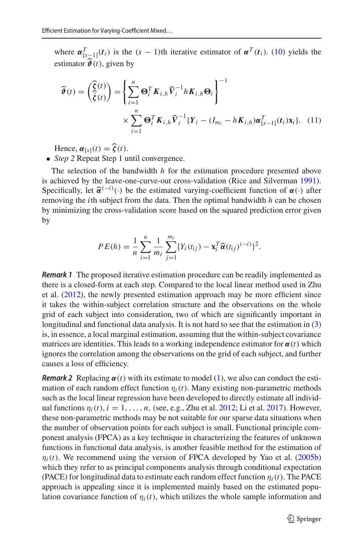where  $\alpha_{s-1}^T(t_i)$  is the  $(s-1)$ th iterative estimator of  $\alpha^T(t_i)$ . [\(10\)](#page-5-2) yields the where  $\alpha_{[s-1]}^T(t_i)$  is the  $(s-1)$ th iterative estimator  $\hat{\boldsymbol{\theta}}(t)$ , given by timator  $\mathbf{\hat{v}}(t)$ , given by

$$
\widehat{\boldsymbol{\vartheta}}(t) = \left(\sum_{i=1}^{\widehat{\boldsymbol{\zeta}}(t)}\right) = \left\{\sum_{i=1}^{n} \boldsymbol{\Theta}_{i}^{T} \boldsymbol{K}_{i,h} \widehat{\boldsymbol{V}}_{i}^{-1} h \boldsymbol{K}_{i,h} \boldsymbol{\Theta}_{i}\right\}^{-1}
$$
\n
$$
\times \sum_{i=1}^{n} \boldsymbol{\Theta}_{i}^{T} \boldsymbol{K}_{i,h} \widehat{\boldsymbol{V}}_{i}^{-1} \{\boldsymbol{Y}_{i} - (\boldsymbol{I}_{m_{i}} - h \boldsymbol{K}_{i,h}) \boldsymbol{\alpha}_{[s-1]}^{T}(t_{i}) \boldsymbol{x}_{i}\}. \quad (11)
$$
\nHence,  $\boldsymbol{\alpha}_{[s]}(t) = \widehat{\boldsymbol{\zeta}}(t).$ 

• *Step 2* Repeat Step 1 until convergence.

The selection of the bandwidth *h* for the estimation procedure presented above is achieved by the leave-one-curve-out cross-validation (Rice and Silverma[n](#page-27-25) [1991](#page-27-25)). The selection of the bandwidth *h* for the estimation procedure presented above<br>is achieved by the leave-one-curve-out cross-validation (Rice and Silverman 1991).<br>Specifically, let  $\hat{\alpha}^{(-i)}(\cdot)$  be the estimated varyingremoving the *i*th subject from the data. Then the optimal bandwidth *h* can be chosen by minimizing the cross-validation score based on the squared prediction error given by

$$
PE(h) = \frac{1}{n} \sum_{i=1}^{n} \frac{1}{m_i} \sum_{j=1}^{m_i} \{Y_i(t_{ij}) - \mathbf{x}_i^T \widehat{\boldsymbol{\alpha}}(t_{ij})^{(-i)}\}^2.
$$

*Remark 1* The proposed iterative estimation procedure can be readily implemented as there is a closed-form at each step. Compared to the local linear method used in Zhu et al[.](#page-27-18)  $(2012)$  $(2012)$ , the newly presented estimation approach may be more efficient since it takes the within-subject correlation structure and the observations on the whole grid of each subject into consideration, two of which are significantly important in longitudinal and functional data analysis. It is not hard to see that the estimation in [\(3\)](#page-3-1) is, in essence, a local marginal estimation, assuming that the within-subject covariance matrices are identities. This leads to a working independence estimator for  $\alpha(t)$  which ignores the correlation among the observations on the grid of each subject, and further causes a loss of efficiency.

*Remark 2* Replacing  $\alpha(t)$  with its estimate to model [\(1\)](#page-1-0), we also can conduct the estimation of each random effect function  $\eta_i(t)$ . Many existing non-parametric methods such as the local linear regression have been developed to directly estimate all individual functions  $\eta_i(t)$ ,  $i = 1, \ldots, n$ , (see, e[.](#page-27-14)g., Zhu et al. [2012;](#page-27-18) Li et al. [2017](#page-27-14)). However, these non-parametric methods may be not suitable for our sparse data situations when the number of observation points for each subject is small. Functional principle component analysis (FPCA) as a key technique in characterizing the features of unknown functions in functional data analysis, is another feasible method for the estimation of  $\eta_i(t)$ [.](#page-27-23) We recommend using the version of FPCA developed by Yao et al. [\(2005b\)](#page-27-23) which they refer to as principal components analysis through conditional expectation (PACE) for longitudinal data to estimate each random effect function  $\eta_i(t)$ . The PACE approach is appealing since it is implemented mainly based on the estimated population covariance function of  $\eta_i(t)$ , which utilizes the whole sample information and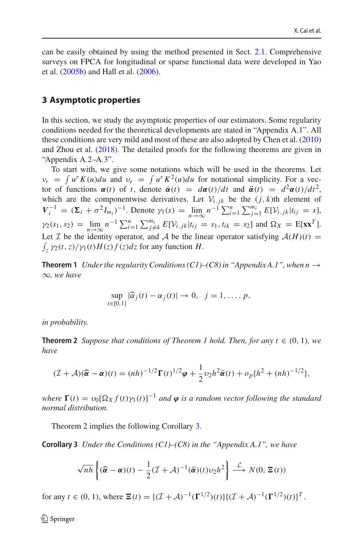can be easily obtained by using the method presented in Sect. [2.1.](#page-3-2) Comprehensive surveys on FPCA for longitudinal or sparse functional data were developed in Yao et al[.](#page-27-23) [\(2005b\)](#page-27-23) and Hall et al[.](#page-27-26) [\(2006](#page-27-26)).

## <span id="page-7-0"></span>**3 Asymptotic properties**

In this section, we study the asymptotic properties of our estimators. Some regularity conditions needed for the theoretical developments are stated in "Appendix A.1". All these conditions are very mild and most of these are also adopted by Chen et al[.](#page-26-3) [\(2010\)](#page-26-3) and Zhou et al[.](#page-27-21) [\(2018\)](#page-27-21). The detailed proofs for the following theorems are given in "Appendix A.2–A.3". and Zhou et al. (2018). The detailed proofs for the following theorems are given in "Appendix A.2–A.3".<br>To start with, we give some notations which will be used in the theorems. Let  $v_r = \int u^r K(u) du$  and  $v_r = \int u^r K^2(u) du$  for

To start with, we give some notations which will be used in the theorems. Let tor of functions  $\alpha(t)$  of *t*, denote  $\dot{\alpha}(t) = d\alpha(t)/dt$  and  $\ddot{\alpha}(t) = d^2\alpha(t)/dt^2$ , which are the componentwise derivatives. Let  $V_{i,j,k}$  be the  $(j, k)$ th element of *v<sub>r</sub>* =  $\int u^r K(u) du$  and  $v_r = \int u^r K^2(u) du$  for notational simplicity. For a vector of functions  $\alpha(t)$  of t, denote  $\dot{\alpha}(t) = d\alpha(t)/dt$  and  $\ddot{\alpha}(t) = d^2\alpha(t)/dt^2$ , which are the componentwise derivatives. Let  $\mathcal{V}_{i,jk}$  be t which are the componentwise derivatives. Let  $V_{i,jk}$  be the  $(j, k)$ th element of  $V_i^{-1} = (\Sigma_i + \sigma^2 I_{m_i})^{-1}$ . Denote  $\gamma_1(s) = \lim_{n \to \infty} n^{-1} \sum_{i=1}^n \sum_{j=1}^{m_i} E[V_{i,jk}|t_{ij} = s]$ ,  $\gamma_2(s_1, s_2) = \lim_{n \to \infty} n^{-1} \sum_{i=1}^n \sum_{j \neq k}^{m$  $V_i$  –  $(2i + 0 \tImes I_{m_i})$ . Denote  $\gamma_1(s) = \lim_{n \to \infty} \alpha$   $\sum_{i=1}^n \sum_{j=1}^n E[V_{i,jk}|t_{ij}] = s_1,$ <br>  $\gamma_2(s_1, s_2) = \lim_{n \to \infty} n^{-1} \sum_{i=1}^n \sum_{j \neq k}^m E[V_{i,jk}|t_{ij}] = s_1, t_{ik} = s_2]$  and  $\Omega_X = E[\mathbf{x} \mathbf{x}^T]$ .<br>
Let *T* be the identity op  $\int_z \gamma_2(t, z)/\gamma_1(t)H(z)f(z)dz$  for any function *H*.

<span id="page-7-1"></span>**Theorem 1** *Under the regularity Conditions (C1)–(C8) in "Appendix A.1", when*  $n \rightarrow$ ∞*, we have*  $\frac{1}{\alpha}$ 

$$
\sup_{t\in[0,1]}|\widehat{\alpha}_j(t)-\alpha_j(t)|\to 0, \ \ j=1,\ldots,p,
$$

*in probability.*

<span id="page-7-2"></span>**Theorem 2** *Suppose that conditions of Theorem [1](#page-7-1) hold. Then, for any t*  $\in (0, 1)$ *, we have*

$$
\begin{aligned} (E + \mathcal{A})(\widehat{\alpha} - \alpha)(t) &= (nh)^{-1/2} \Gamma(t)^{1/2} \varphi + \frac{1}{2} v_2 h^2 \ddot{\alpha}(t) + o_p \{h^2 + (nh)^{-1/2}\}, \end{aligned}
$$

*where*  $\Gamma(t) = v_0[\Omega_X f(t) \gamma_1(t)]^{-1}$  *and*  $\varphi$  *is a random vector following the standard normal distribution.*

<span id="page-7-3"></span>Theorem [2](#page-7-2) implies the following Corollary [3.](#page-7-3)

**Corollary 3** *Under the Conditions (C1)–(C8) in the "Appendix A.1", we have*

3 Under the Conditions (C1)–(C8) in the "Appendix A.1", we have  
\n
$$
\sqrt{nh} \left\{ (\widehat{\boldsymbol{\alpha}} - \boldsymbol{\alpha})(t) - \frac{1}{2} (\mathcal{I} + \mathcal{A})^{-1} (\widehat{\boldsymbol{\alpha}})(t) v_2 h^2 \right\} \xrightarrow{\mathcal{L}} N(0, \Xi(t))
$$

for any  $t \in (0, 1)$ , where  $\mathbf{E}(t) = \{ (\mathcal{I} + \mathcal{A})^{-1} (\mathbf{\Gamma}^{1/2})(t) \} \{ (\mathcal{I} + \mathcal{A})^{-1} (\mathbf{\Gamma}^{1/2})(t) \}^T$ .

 $\textcircled{2}$  Springer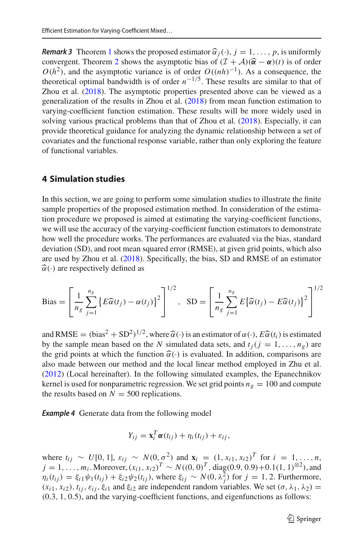**Remark 3** Theorem [1](#page-7-1) shows the proposed estimator  $\widehat{\alpha}_j(\cdot)$ ,  $j = 1, ..., p$ , is uniformly **Remark 3** Theorem 1 shows the proposed estimator  $\widehat{\alpha}_j(\cdot)$ ,  $j = 1, ..., p$ , is uniformly **Remark 3** Theorem 1 shows the proposed estimator  $\hat{\alpha}_j(\cdot)$ ,  $j = 1, ..., p$ , is uniformly convergent. Theorem [2](#page-7-2) shows the asymptotic bias of  $(\mathcal{I} + \mathcal{A})(\hat{\alpha} - \alpha)(t)$  is of order  $O(h^2)$ , and the asymptotic variance is of order  $O((nh)^{-1})$ . As a consequence, the theoretical optimal bandwidth is of order  $n^{-1/5}$ . These results are similar to that of Zhou et al[.](#page-27-21) [\(2018](#page-27-21)). The asymptotic properties presented above can be viewed as a generalization of the results in Zhou et al[.](#page-27-21) [\(2018](#page-27-21)) from mean function estimation to varying-coefficient function estimation. These results will be more widely used in solving various practical problems than that of Zhou et al[.](#page-27-21) [\(2018\)](#page-27-21). Especially, it can provide theoretical guidance for analyzing the dynamic relationship between a set of covariates and the functional response variable, rather than only exploring the feature of functional variables.

## <span id="page-8-0"></span>**4 Simulation studies**

In this section, we are going to perform some simulation studies to illustrate the finite sample properties of the proposed estimation method. In consideration of the estimation procedure we proposed is aimed at estimating the varying-coefficient functions, we will use the accuracy of the varying-coefficient function estimators to demonstrate how well the procedure works. The performances are evaluated via the bias, standard deviation (SD), and root mean squared error (RMSE), at given grid points, which also are used by Zhou et al[.](#page-27-21) [\(2018\)](#page-27-21). Specifically, the bias, SD and RMSE of an estimator  $\widehat{\alpha}(\cdot)$  are respectively defined as

$$
\text{Bias} = \left[\frac{1}{n_g} \sum_{j=1}^{n_g} \left\{ E\widehat{\alpha}(t_j) - \alpha(t_j) \right\}^2 \right]^{1/2}, \quad \text{SD} = \left[ \frac{1}{n_g} \sum_{j=1}^{n_g} E\left\{ \widehat{\alpha}(t_j) - E\widehat{\alpha}(t_j) \right\}^2 \right]^{1/2}
$$

 $\left[ n_g \sum_{j=1}^{n_g} \sum_{j=1}^{n_g} \sum_{j=1}^{n_g} \sum_{j=1}^{n_g} \sum_{j=1}^{n_g} \sum_{j=1}^{n_g} \sum_{j=1}^{n_g} \sum_{j=1}^{n_g} \sum_{j=1}^{n_g} \sum_{j=1}^{n_g} \sum_{j=1}^{n_g} \sum_{j=1}^{n_g} \sum_{j=1}^{n_g} \sum_{j=1}^{n_g} \sum_{j=1}^{n_g} \sum_{j=1}^{n_g} \sum_{j=1}^{n_g} \sum_{j=1}^{n_g} \sum_{j=1}^{n_g} \sum_{j=1$ by the sample mean based on the *N* simulated data sets, and  $t_i$  ( $j = 1, ..., n_g$ ) are the grid points at which the function  $\hat{\alpha}(\cdot)$  is evaluated. In addition, comparisons are also made between our method and the local linear method employed in Zhu et al[.](#page-27-18) [\(2012\)](#page-27-18) (Local hereinafter). In the following simulated examples, the Epanechnikov kernel is used for nonparametric regression. We set grid points  $n_g = 100$  and compute the results based on  $N = 500$  replications.

<span id="page-8-1"></span>**Example 4** Generate data from the following model

$$
Y_{ij} = \mathbf{x}_i^T \boldsymbol{\alpha}(t_{ij}) + \eta_i(t_{ij}) + \varepsilon_{ij},
$$

where  $t_{ij}$  ∼ *U*[0, 1],  $\varepsilon_{ij}$  ∼ *N*(0, $\sigma^2$ ) and  $\mathbf{x}_i = (1, x_{i1}, x_{i2})^T$  for  $i = 1, ..., n$ , *j* = 1, ..., *m<sub>i</sub>*. Moreover,  $(x_{i1}, x_{i2})^T$  ∼  $N((0, 0)^T$ , diag(0.9, 0.9)+0.1(1, 1)<sup>⊗2</sup>), and  $\eta_i(t_{ij}) = \xi_{i1}\psi_1(t_{ij}) + \xi_{i2}\psi_2(t_{ij}),$  where  $\xi_{ij} \sim N(0, \lambda_j^2)$  for  $j = 1, 2$ . Furthermore,  $(x_{i1}, x_{i2}), t_{i1}, \varepsilon_{i1}, \xi_{i1}$  and  $\xi_{i2}$  are independent random variables. We set  $(\sigma, \lambda_1, \lambda_2)$  = (0.3, 1, 0.5), and the varying-coefficient functions, and eigenfunctions as follows: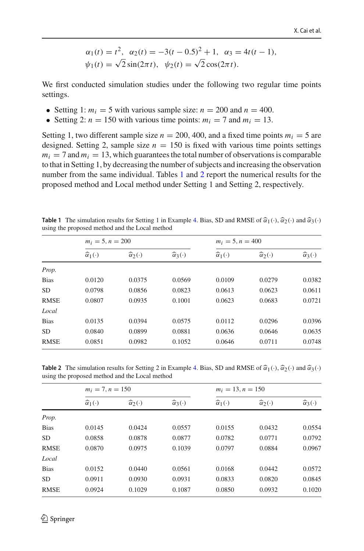$$
\alpha_1(t) = t^2
$$
,  $\alpha_2(t) = -3(t - 0.5)^2 + 1$ ,  $\alpha_3 = 4t(t - 1)$ ,  
\n $\psi_1(t) = \sqrt{2} \sin(2\pi t)$ ,  $\psi_2(t) = \sqrt{2} \cos(2\pi t)$ .

We first conducted simulation studies under the following two regular time points settings.

- Setting 1:  $m_i = 5$  with various sample size:  $n = 200$  and  $n = 400$ .
- Setting 2:  $n = 150$  with various time points:  $m_i = 7$  and  $m_i = 13$ .

Setting 1, two different sample size  $n = 200$ , 400, and a fixed time points  $m_i = 5$  are designed. Setting 2, sample size  $n = 150$  is fixed with various time points settings  $m<sub>i</sub> = 7$  and  $m<sub>i</sub> = 13$ , which guarantees the total number of observations is comparable to that in Setting 1, by decreasing the number of subjects and increasing the observation number from the same individual. Tables [1](#page-9-0) and [2](#page-9-1) report the numerical results for the proposed method and Local method under Setting 1 and Setting 2, respectively.

<span id="page-9-2"></span>

| <b>Table 1</b> The simulation results for Setting 1 in Example 4. Bias, SD and RMSE of $\hat{\alpha}_1(\cdot), \hat{\alpha}_2(\cdot)$ and $\hat{\alpha}_3(\cdot)$<br>using the proposed method and the Local method |  |  |
|---------------------------------------------------------------------------------------------------------------------------------------------------------------------------------------------------------------------|--|--|

<span id="page-9-0"></span>

|             | $m_i = 5, n = 200$          |                             |                             | $m_i = 5, n = 400$          |                               |                             |
|-------------|-----------------------------|-----------------------------|-----------------------------|-----------------------------|-------------------------------|-----------------------------|
|             | $\widehat{\alpha}_1(\cdot)$ | $\widehat{\alpha}_2(\cdot)$ | $\widehat{\alpha}_3(\cdot)$ | $\widehat{\alpha}_1(\cdot)$ | $\widehat{\alpha}_{2}(\cdot)$ | $\widehat{\alpha}_3(\cdot)$ |
| Prop.       |                             |                             |                             |                             |                               |                             |
| <b>Bias</b> | 0.0120                      | 0.0375                      | 0.0569                      | 0.0109                      | 0.0279                        | 0.0382                      |
| <b>SD</b>   | 0.0798                      | 0.0856                      | 0.0823                      | 0.0613                      | 0.0623                        | 0.0611                      |
| <b>RMSE</b> | 0.0807                      | 0.0935                      | 0.1001                      | 0.0623                      | 0.0683                        | 0.0721                      |
| Local       |                             |                             |                             |                             |                               |                             |
| <b>Bias</b> | 0.0135                      | 0.0394                      | 0.0575                      | 0.0112                      | 0.0296                        | 0.0396                      |
| <b>SD</b>   | 0.0840                      | 0.0899                      | 0.0881                      | 0.0636                      | 0.0646                        | 0.0635                      |
| <b>RMSE</b> | 0.0851                      | 0.0982                      | 0.1052                      | 0.0646                      | 0.0711                        | 0.0748                      |
|             |                             |                             |                             |                             |                               |                             |

**Table 2** The simulation results for Setting 2 in Example [4.](#page-8-1) Bias, SD and RMSE of  $\hat{\alpha}_1(\cdot), \hat{\alpha}_2(\cdot)$  and  $\hat{\alpha}_3(\cdot)$ using the proposed method and the Local method

<span id="page-9-1"></span>

|             | $m_i = 7, n = 150$          |                             |                             | $m_i = 13, n = 150$         |                               |                             |
|-------------|-----------------------------|-----------------------------|-----------------------------|-----------------------------|-------------------------------|-----------------------------|
|             | $\widehat{\alpha}_1(\cdot)$ | $\widehat{\alpha}_2(\cdot)$ | $\widehat{\alpha}_3(\cdot)$ | $\widehat{\alpha}_1(\cdot)$ | $\widehat{\alpha}_{2}(\cdot)$ | $\widehat{\alpha}_3(\cdot)$ |
| Prop.       |                             |                             |                             |                             |                               |                             |
| <b>Bias</b> | 0.0145                      | 0.0424                      | 0.0557                      | 0.0155                      | 0.0432                        | 0.0554                      |
| <b>SD</b>   | 0.0858                      | 0.0878                      | 0.0877                      | 0.0782                      | 0.0771                        | 0.0792                      |
| <b>RMSE</b> | 0.0870                      | 0.0975                      | 0.1039                      | 0.0797                      | 0.0884                        | 0.0967                      |
| Local       |                             |                             |                             |                             |                               |                             |
| <b>Bias</b> | 0.0152                      | 0.0440                      | 0.0561                      | 0.0168                      | 0.0442                        | 0.0572                      |
| <b>SD</b>   | 0.0911                      | 0.0930                      | 0.0931                      | 0.0833                      | 0.0820                        | 0.0845                      |
| <b>RMSE</b> | 0.0924                      | 0.1029                      | 0.1087                      | 0.0850                      | 0.0932                        | 0.1020                      |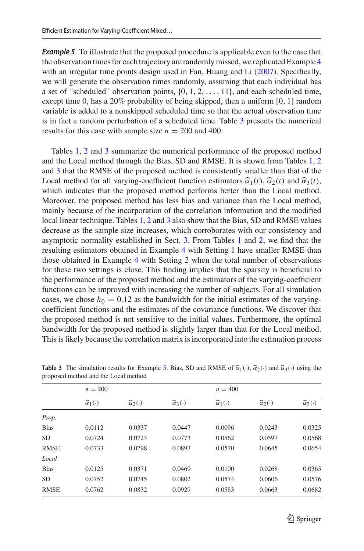**Example 5** To illustrate that the proposed procedure is applicable even to the case that the observation times for each trajectory are randomly missed, we replicated Example [4](#page-8-1) w[i](#page-27-27)th an irregular time points design used in Fan, Huang and Li [\(2007\)](#page-27-27). Specifically, we will generate the observation times randomly, assuming that each individual has a set of "scheduled" observation points,  $\{0, 1, 2, \ldots, 11\}$ , and each scheduled time, except time 0, has a 20% probability of being skipped, then a uniform [0, 1] random variable is added to a nonskipped scheduled time so that the actual observation time is in fact a random perturbation of a scheduled time. Table [3](#page-10-0) presents the numerical results for this case with sample size  $n = 200$  and 400.

Tables [1,](#page-9-0) [2](#page-9-1) and [3](#page-10-0) summarize the numerical performance of the proposed method and the Local method through the Bias, SD and RMSE. It is shown from Tables [1,](#page-9-0) [2](#page-9-1) and [3](#page-10-0) that the RMSE of the proposed method is consistently smaller than that of the Fraction 1, 2 and 3 summarize the numerical performance of the proposed me<br>and the Local method through the Bias, SD and RMSE. It is shown from Tables<br>and 3 that the RMSE of the proposed method is consistently smaller tha Local method for all varying-coefficient function estimators  $\hat{\alpha}_1(t)$ ,  $\hat{\alpha}_2(t)$  and  $\hat{\alpha}_3(t)$ , which indicates that the proposed method performs better than the Local method. Moreover, the proposed method has less bias and variance than the Local method, mainly because of the incorporation of the correlation information and the modified local linear technique. Tables [1,](#page-9-0) [2](#page-9-1) and [3](#page-10-0) also show that the Bias, SD and RMSE values decrease as the sample size increases, which corroborates with our consistency and asymptotic normality established in Sect. [3.](#page-7-0) From Tables [1](#page-9-0) and [2,](#page-9-1) we find that the resulting estimators obtained in Example [4](#page-8-1) with Setting 1 have smaller RMSE than those obtained in Example [4](#page-8-1) with Setting 2 when the total number of observations for these two settings is close. This finding implies that the sparsity is beneficial to the performance of the proposed method and the estimators of the varying-coefficient functions can be improved with increasing the number of subjects. For all simulation cases, we chose  $h_0 = 0.12$  as the bandwidth for the initial estimates of the varyingcoefficient functions and the estimates of the covariance functions. We discover that the proposed method is not sensitive to the initial values. Furthermore, the optimal bandwidth for the proposed method is slightly larger than that for the Local method. This is likely because the correlation matrix is incorporated into the estimation process

<span id="page-10-0"></span>

|             | $n = 200$                   |                             |                             | $n = 400$                   |                               |                             |  |
|-------------|-----------------------------|-----------------------------|-----------------------------|-----------------------------|-------------------------------|-----------------------------|--|
|             | $\widehat{\alpha}_1(\cdot)$ | $\widehat{\alpha}_2(\cdot)$ | $\widehat{\alpha}_3(\cdot)$ | $\widehat{\alpha}_1(\cdot)$ | $\widehat{\alpha}_{2}(\cdot)$ | $\widehat{\alpha}_3(\cdot)$ |  |
| Prop.       |                             |                             |                             |                             |                               |                             |  |
| <b>Bias</b> | 0.0112                      | 0.0337                      | 0.0447                      | 0.0096                      | 0.0243                        | 0.0325                      |  |
| <b>SD</b>   | 0.0724                      | 0.0723                      | 0.0773                      | 0.0562                      | 0.0597                        | 0.0568                      |  |
| <b>RMSE</b> | 0.0733                      | 0.0798                      | 0.0893                      | 0.0570                      | 0.0645                        | 0.0654                      |  |
| Local       |                             |                             |                             |                             |                               |                             |  |
| <b>Bias</b> | 0.0125                      | 0.0371                      | 0.0469                      | 0.0100                      | 0.0268                        | 0.0365                      |  |
| <b>SD</b>   | 0.0752                      | 0.0745                      | 0.0802                      | 0.0574                      | 0.0606                        | 0.0576                      |  |
| <b>RMSE</b> | 0.0762                      | 0.0832                      | 0.0929                      | 0.0583                      | 0.0663                        | 0.0682                      |  |
|             |                             |                             |                             |                             |                               |                             |  |

**Table 3** The simulation results for Example [5.](#page-9-2) Bias, SD and RMSE of  $\hat{\alpha}_1(\cdot)$ ,  $\hat{\alpha}_2(\cdot)$  and  $\hat{\alpha}_3(\cdot)$  using the proposed method and the Local method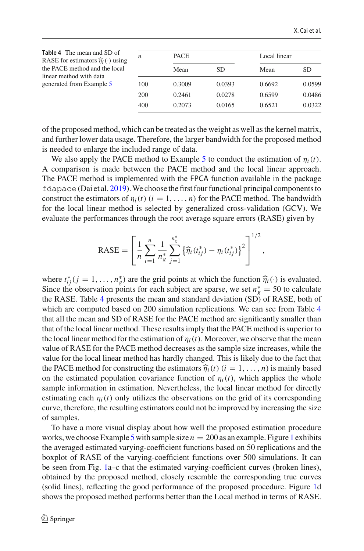<span id="page-11-0"></span>

| <b>Table 4</b> The mean and SD of<br>RASE for estimators $\hat{\eta}_i(\cdot)$ using<br>the PACE method and the local<br>linear method with data<br>generated from Example 5 | n   | <b>PACE</b> |        | Local linear |        |
|------------------------------------------------------------------------------------------------------------------------------------------------------------------------------|-----|-------------|--------|--------------|--------|
|                                                                                                                                                                              |     | Mean        | SD.    | Mean         | SD.    |
|                                                                                                                                                                              | 100 | 0.3009      | 0.0393 | 0.6692       | 0.0599 |
|                                                                                                                                                                              | 200 | 0.2461      | 0.0278 | 0.6599       | 0.0486 |
|                                                                                                                                                                              | 400 | 0.2073      | 0.0165 | 0.6521       | 0.0322 |

of the proposed method, which can be treated as the weight as well as the kernel matrix, and further lower data usage. Therefore, the larger bandwidth for the proposed method is needed to enlarge the included range of data.

We also apply the PACE method to Example [5](#page-9-2) to conduct the estimation of  $\eta_i(t)$ . A comparison is made between the PACE method and the local linear approach. The PACE method is implemented with the FPCA function available in the package fdapace(Dai et al[.](#page-27-28) [2019\)](#page-27-28).We choose the first four functional principal components to construct the estimators of  $\eta_i(t)$  ( $i = 1, \ldots, n$ ) for the PACE method. The bandwidth for the local linear method is selected by generalized cross-validation (GCV). We evaluate the performances through the root average square errors (RASE) given by erro

RASE = 
$$
\left[\frac{1}{n}\sum_{i=1}^{n}\frac{1}{n_g^*}\sum_{j=1}^{n_g^*}\left\{\widehat{\eta}_i(t_{ij}^*)-\eta_i(t_{ij}^*)\right\}^2\right]^{1/2},
$$

where  $t_{ij}^*(j = 1, ..., n_g^*)$  are the grid points at which the function  $\hat{\eta}_i(\cdot)$  is evaluated. Since the observation points for each subject are sparse, we set  $n_g^* = 50$  to calculate the RASE. Table [4](#page-11-0) presents the mean and standard deviation (SD) of RASE, both of which are computed based on 200 simulation replications. We can see from Table [4](#page-11-0) that all the mean and SD of RASE for the PACE method are significantly smaller than that of the local linear method. These results imply that the PACE method is superior to the local linear method for the estimation of  $\eta_i(t)$ . Moreover, we observe that the mean value of RASE for the PACE method decreases as the sample size increases, while the value for the local linear method has hardly changed. This is likely due to the fact that the focal finest method for the estimation of  $\eta_i(t)$ . Moreover, we observe that the fleath<br>value of RASE for the PACE method decreases as the sample size increases, while the<br>value for the local linear method has hardly on the estimated population covariance function of  $\eta_i(t)$ , which applies the whole sample information in estimation. Nevertheless, the local linear method for directly estimating each  $\eta_i(t)$  only utilizes the observations on the grid of its corresponding curve, therefore, the resulting estimators could not be improved by increasing the size of samples.

To have a more visual display about how well the proposed estimation procedure works, we choose Example [5](#page-9-2) with sample size  $n = 200$  as an example. Figure [1](#page-12-1) exhibits the averaged estimated varying-coefficient functions based on 50 replications and the boxplot of RASE of the varying-coefficient functions over 500 simulations. It can be seen from Fig. [1a](#page-12-1)–c that the estimated varying-coefficient curves (broken lines), obtained by the proposed method, closely resemble the corresponding true curves (solid lines), reflecting the good performance of the proposed procedure. Figure [1d](#page-12-1) shows the proposed method performs better than the Local method in terms of RASE.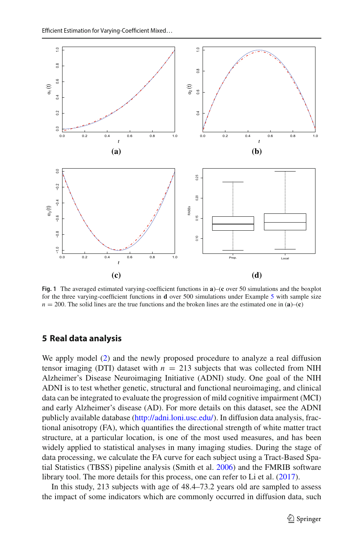

<span id="page-12-1"></span>**Fig. 1** The averaged estimated varying-coefficient functions in **a**)–(**c** over 50 simulations and the boxplot for the three varying-coefficient functions in **d** over 500 simulations under Example [5](#page-9-2) with sample size  $n = 200$ . The solid lines are the true functions and the broken lines are the estimated one in (**a**)–(**c**)

## <span id="page-12-0"></span>**5 Real data analysis**

We apply model [\(2\)](#page-3-3) and the newly proposed procedure to analyze a real diffusion tensor imaging (DTI) dataset with  $n = 213$  subjects that was collected from NIH Alzheimer's Disease Neuroimaging Initiative (ADNI) study. One goal of the NIH ADNI is to test whether genetic, structural and functional neuroimaging, and clinical data can be integrated to evaluate the progression of mild cognitive impairment (MCI) and early Alzheimer's disease (AD). For more details on this dataset, see the ADNI publicly available database [\(http://adni.loni.usc.edu/\)](http://adni.loni.usc.edu/). In diffusion data analysis, fractional anisotropy (FA), which quantifies the directional strength of white matter tract structure, at a particular location, is one of the most used measures, and has been widely applied to statistical analyses in many imaging studies. During the stage of data processing, we calculate the FA curve for each subject using a Tract-Based Spatial Statistics (TBSS) pipeline analysis (Smith et al. [2006](#page-27-29)) and the FMRIB software library tool. The more details for this process, one can refer to Li et al[.](#page-27-14) [\(2017\)](#page-27-14).

In this study, 213 subjects with age of 48.4–73.2 years old are sampled to assess the impact of some indicators which are commonly occurred in diffusion data, such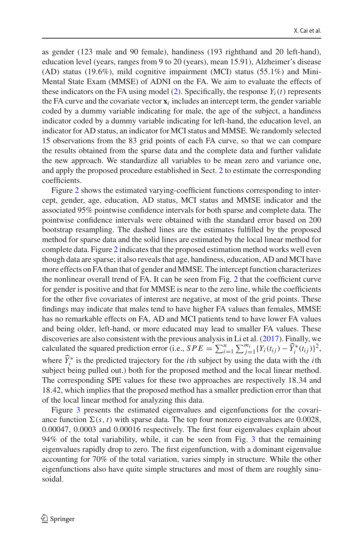as gender (123 male and 90 female), handiness (193 righthand and 20 left-hand), education level (years, ranges from 9 to 20 (years), mean 15.91), Alzheimer's disease (AD) status (19.6%), mild cognitive impairment (MCI) status (55.1%) and Mini-Mental State Exam (MMSE) of ADNI on the FA. We aim to evaluate the effects of these indicators on the FA using model  $(2)$ . Specifically, the response  $Y_i(t)$  represents the FA curve and the covariate vector  $\mathbf{x}_i$  includes an intercept term, the gender variable coded by a dummy variable indicating for male, the age of the subject, a handiness indicator coded by a dummy variable indicating for left-hand, the education level, an indicator for AD status, an indicator for MCI status and MMSE. We randomly selected 15 observations from the 83 grid points of each FA curve, so that we can compare the results obtained from the sparse data and the complete data and further validate the new approach. We standardize all variables to be mean zero and variance one, and apply the proposed procedure established in Sect. [2](#page-3-0) to estimate the corresponding coefficients.

Figure [2](#page-14-1) shows the estimated varying-coefficient functions corresponding to intercept, gender, age, education, AD status, MCI status and MMSE indicator and the associated 95% pointwise confidence intervals for both sparse and complete data. The pointwise confidence intervals were obtained with the standard error based on 200 bootstrap resampling. The dashed lines are the estimates fulfilled by the proposed method for sparse data and the solid lines are estimated by the local linear method for complete data. Figure [2](#page-14-1) indicates that the proposed estimation method works well even though data are sparse; it also reveals that age, handiness, education, AD and MCI have more effects on FA than that of gender and MMSE. The intercept function characterizes the nonlinear overall trend of FA. It can be seen from Fig. [2](#page-14-1) that the coefficient curve for gender is positive and that for MMSE is near to the zero line, while the coefficients for the other five covariates of interest are negative, at most of the grid points. These findings may indicate that males tend to have higher FA values than females, MMSE has no remarkable effects on FA, AD and MCI patients tend to have lower FA values and being older, left-hand, or more educated may lead to smaller FA values. These discoveries are also consistent with the previous analysis in Li et al[.](#page-27-14) [\(2017](#page-27-14)). Finally, we has no remarkable effects on FA, AD and MCI patients tend to have lower FA values<br>and being older, left-hand, or more educated may lead to smaller FA values. These<br>discoveries are also consistent with the previous analysi where  $Y_i^*$  is the predicted trajectory for the *i*th subject by using the data with the *i*th subject being pulled out.) both for the proposed method and the local linear method. The corresponding SPE values for these two approaches are respectively 18.34 and 18.42, which implies that the proposed method has a smaller prediction error than that of the local linear method for analyzing this data.

Figure [3](#page-15-0) presents the estimated eigenvalues and eigenfunctions for the covariance function  $\Sigma(s, t)$  with sparse data. The top four nonzero eigenvalues are 0.0028, 0.00047, 0.0003 and 0.00016 respectively. The first four eigenvalues explain about 94% of the total variability, while, it can be seen from Fig. [3](#page-15-0) that the remaining eigenvalues rapidly drop to zero. The first eigenfunction, with a dominant eigenvalue accounting for 70% of the total variation, varies simply in structure. While the other eigenfunctions also have quite simple structures and most of them are roughly sinusoidal.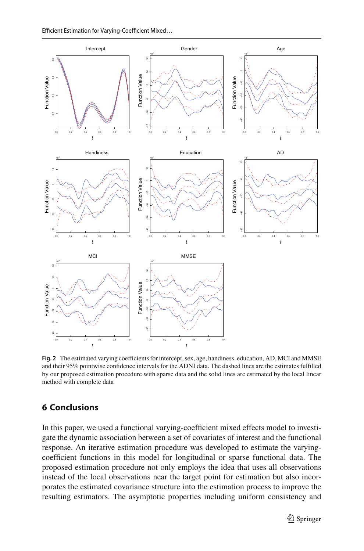

<span id="page-14-1"></span>**Fig. 2** The estimated varying coefficients for intercept, sex, age, handiness, education, AD, MCI and MMSE and their 95% pointwise confidence intervals for the ADNI data. The dashed lines are the estimates fulfilled by our proposed estimation procedure with sparse data and the solid lines are estimated by the local linear method with complete data

## <span id="page-14-0"></span>**6 Conclusions**

In this paper, we used a functional varying-coefficient mixed effects model to investigate the dynamic association between a set of covariates of interest and the functional response. An iterative estimation procedure was developed to estimate the varyingcoefficient functions in this model for longitudinal or sparse functional data. The proposed estimation procedure not only employs the idea that uses all observations instead of the local observations near the target point for estimation but also incorporates the estimated covariance structure into the estimation process to improve the resulting estimators. The asymptotic properties including uniform consistency and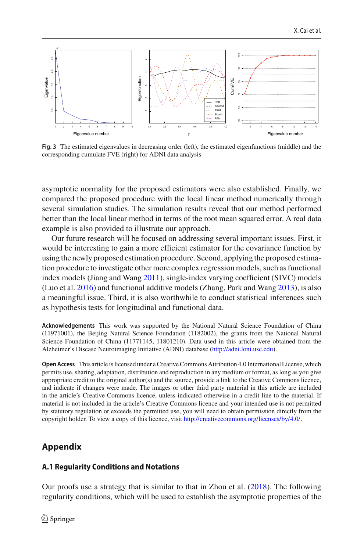

<span id="page-15-0"></span>**Fig. 3** The estimated eigenvalues in decreasing order (left), the estimated eigenfunctions (middle) and the corresponding cumulate FVE (right) for ADNI data analysis

asymptotic normality for the proposed estimators were also established. Finally, we compared the proposed procedure with the local linear method numerically through several simulation studies. The simulation results reveal that our method performed better than the local linear method in terms of the root mean squared error. A real data example is also provided to illustrate our approach.

Our future research will be focused on addressing several important issues. First, it would be interesting to gain a more efficient estimator for the covariance function by using the newly proposed estimation procedure. Second, applying the proposed estimation procedure to investigate other more complex regression models, such as functional index models (Jiang and Wan[g](#page-27-30) [2011](#page-27-30)), single-index varying coefficient (SIVC) models (Luo et al[.](#page-27-13) [2016\)](#page-27-13) and functional additive models (Zhang, Park and Wan[g](#page-27-31) [2013\)](#page-27-31), is also a meaningful issue. Third, it is also worthwhile to conduct statistical inferences such as hypothesis tests for longitudinal and functional data.

**Acknowledgements** This work was supported by the National Natural Science Foundation of China (11971001), the Beijing Natural Science Foundation (1182002), the grants from the National Natural Science Foundation of China (11771145, 11801210). Data used in this article were obtained from the Alzheimer's Disease Neuroimaging Initiative (ADNI) database [\(http://adni.loni.usc.edu\)](http://adni.loni.usc.edu).

**Open Access** This article is licensed under a Creative Commons Attribution 4.0 International License, which permits use, sharing, adaptation, distribution and reproduction in any medium or format, as long as you give appropriate credit to the original author(s) and the source, provide a link to the Creative Commons licence, and indicate if changes were made. The images or other third party material in this article are included in the article's Creative Commons licence, unless indicated otherwise in a credit line to the material. If material is not included in the article's Creative Commons licence and your intended use is not permitted by statutory regulation or exceeds the permitted use, you will need to obtain permission directly from the copyright holder. To view a copy of this licence, visit [http://creativecommons.org/licenses/by/4.0/.](http://creativecommons.org/licenses/by/4.0/)

# **Appendix**

#### **A.1 Regularity Conditions and Notations**

Our proofs use a strategy that is similar to that in Zhou et al[.](#page-27-21) [\(2018](#page-27-21)). The following regularity conditions, which will be used to establish the asymptotic properties of the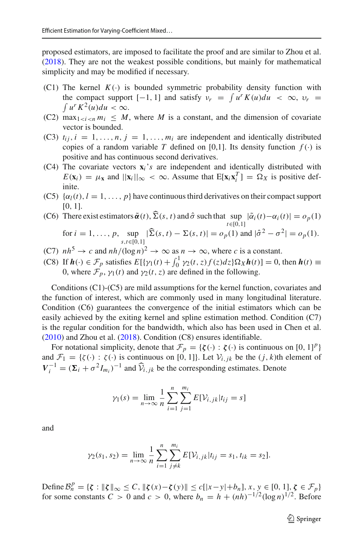proposed estimators, are imposed to facilitate the proof and are similar to Zhou et al[.](#page-27-21) [\(2018\)](#page-27-21). They are not the weakest possible conditions, but mainly for mathematical simplicity and may be modified if necessary.

- (C1) The kernel  $K(\cdot)$  is bounded symmetric probability density function with the compact support  $K(\cdot)$  is bounded symmetric probability density function with the compact support  $[-1, 1]$  and satisfy  $v_r = \int u^r K(u) du < \infty$ ,  $v_r = \int u^r K^2(u) du < \infty$ .
- (C2) max<sub>1<*i*<*n*  $m_i \leq M$ , where *M* is a constant, and the dimension of covariate</sub> vector is bounded.
- (C3)  $t_{ij}$ ,  $i = 1, \ldots, n$ ,  $j = 1, \ldots, m_i$  are independent and identically distributed copies of a random variable *T* defined on [0,1]. Its density function  $f(.)$  is positive and has continuous second derivatives.
- (C4) The covariate vectors **x***i*'*s* are independent and identically distributed with  $E(\mathbf{x}_i) = \mu_{\mathbf{x}}$  and  $||\mathbf{x}_i||_{\infty} < \infty$ . Assume that  $E[\mathbf{x}_i \mathbf{x}_i^T] = \Omega_X$  is positive definite.
- (C5)  $\{\alpha_l(t), l = 1, \ldots, p\}$  have continuous third derivatives on their compact support [0, 1].
- (C5)  $\{\alpha_l(t), l = 1, ..., p\}$  have continuous third derivatives on their compact support [0, 1].<br>
(C6) There exist estimators  $\tilde{\alpha}(t), \hat{\Sigma}(s, t)$  and  $\hat{\sigma}$  such that  $\sup_{t \in [0,1]} |\tilde{\alpha}_i(t) \alpha_i(t)| = o_p(1)$ ),  $\widehat{\Sigma}$ <br>| $\widehat{\Sigma}$ (

for 
$$
i = 1, ..., p
$$
,  $\sup_{s,t \in [0,1]} |\hat{\Sigma}(s,t) - \Sigma(s,t)| = o_p(1)$  and  $|\hat{\sigma}^2 - \sigma^2| = o_p(1)$ .  
\n(C7)  $nh^5 \to c$  and  $nh/(\log n)^2 \to \infty$  as  $n \to \infty$ , where  $c$  is a constant.  
\n(C8) If  $h(\cdot) \in \mathcal{F}_p$  satisfies  $E[\{\gamma_1(t) + \int_0^1 \gamma_2(t, z) f(z) dz\} \Omega_X h(t)] = 0$ , then  $h(t) \equiv$ 

- (C7)  $nh^5 \rightarrow c$  and  $nh/(\log n)^2 \rightarrow \infty$  as  $n \rightarrow \infty$ , where *c* is a constant.
- 0, where  $\mathcal{F}_p$ ,  $\gamma_1(t)$  and  $\gamma_2(t, z)$  are defined in the following.

Conditions (C1)-(C5) are mild assumptions for the kernel function, covariates and the function of interest, which are commonly used in many longitudinal literature. Condition (C6) guarantees the convergence of the initial estimators which can be easily achieved by the exiting kernel and spline estimation method. Condition (C7) is the regular condition for the bandwidth, which also has been used in Chen et al[.](#page-26-3)  $(2010)$  and Zhou et al[.](#page-27-21)  $(2018)$  $(2018)$ . Condition  $(C8)$  ensures identifiable.

For notational simplicity, denote that  $\mathcal{F}_p = \{\zeta(\cdot) : \zeta(\cdot) \text{ is continuous on } [0, 1]^p\}$ and  $\mathcal{F}_1 = \{\zeta(\cdot) : \zeta(\cdot) \text{ is continuous on } [0, 1]\}.$  Let  $\mathcal{V}_{i,j,k}$  be the  $(j, k)$ th element of  $V_i^{-1} = (\Sigma_i + \sigma^2 I_{m_i})^{-1}$  and  $\hat{V}_{i,jk}$  be the corresponding estimates. Denote

$$
\gamma_1(s) = \lim_{n \to \infty} \frac{1}{n} \sum_{i=1}^n \sum_{j=1}^{m_i} E[\mathcal{V}_{i,jk} | t_{ij} = s]
$$

and

$$
\gamma_2(s_1, s_2) = \lim_{n \to \infty} \frac{1}{n} \sum_{i=1}^n \sum_{j \neq k}^{m_i} E[\mathcal{V}_{i,jk}|t_{ij} = s_1, t_{ik} = s_2].
$$

 $\Delta B_n^p = {\zeta : \| \zeta \|_{\infty} \le C, \| \zeta(x) - \zeta(y) \| \le c[|x-y| + b_n], x, y \in [0, 1], \zeta \in \mathcal{F}_p}$ for some constants  $C > 0$  and  $c > 0$ , where  $b_n = h + (nh)^{-1/2}(\log n)^{1/2}$ . Before

<sup>2</sup> Springer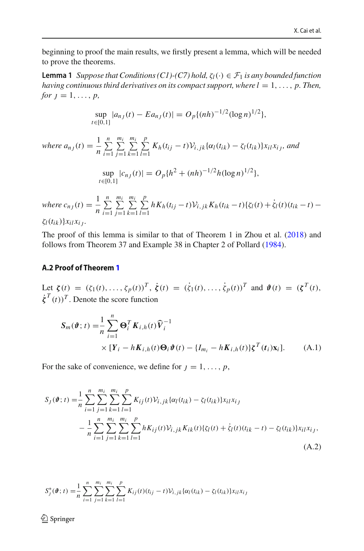<span id="page-17-1"></span>beginning to proof the main results, we firstly present a lemma, which will be needed to prove the theorems.

**Lemma 1** *Suppose that Conditions (C1)-(C7) hold,*  $\zeta_l(\cdot) \in \mathcal{F}_1$  *is any bounded function having continuous third derivatives on its compact support, where*  $l = 1, \ldots, p$ *. Then, for*  $j = 1, ..., p$ ,

$$
\sup_{t\in[0,1]}|a_{n_j}(t)-E a_{n_j}(t)|=O_p\{(nh)^{-1/2}(\log n)^{1/2}\},\,
$$

where  $a_{n,j}(t) = \frac{1}{n}$ *n i*=1 *mi j*=1 *mi k*=1 *p*  $\sum_{l=1}^{K} K_h(t_{ij} - t) V_{i,jk} {\alpha_l(t_{ik}) - \zeta_l(t_{ik})} x_{il} x_{ij}$ *, and* sup  $\sup_{t \in [0,1]} |c_{n_j}(t)| = O_p\{h^2 + (nh)^{-1/2}h(\log n)^{1/2}\},\$ 

where  $c_{n,j}(t) = \frac{1}{n}$ *n i*=1 *mi j*=1 *mi k*=1 *p*  $\sum_{l=1}^{\infty} h K_h(t_{ij} - t) V_{i,jk} K_h(t_{ik} - t) \{ \zeta_l(t) + \zeta_l(t) (t_{ik} - t)$ ζ*l*(*tik* )}*xil xi*<sup>j</sup> *.*

The proof of this lemma is similar to that of Theorem 1 in Zhou et al[.](#page-27-21) [\(2018\)](#page-27-21) and follows from Theorem 37 and Example 38 in Chapter 2 of Pollar[d](#page-27-32) [\(1984\)](#page-27-32).

## **A.2 Proof of Theorem [1](#page-7-1)**

Let  $\zeta(t) = (\zeta_1(t), ..., \zeta_p(t))^T$ ,  $\dot{\zeta}(t) = (\dot{\zeta}_1(t), ..., \dot{\zeta}_p(t))^T$  and  $\vartheta(t) = (\zeta^T(t), \dots, \zeta^T(t))^T$  $\dot{\zeta}^T(t)$ <sup>T</sup>. Denote the score function

<span id="page-17-2"></span>
$$
S_m(\boldsymbol{\vartheta};t) = \frac{1}{n} \sum_{i=1}^n \boldsymbol{\Theta}_i^T \boldsymbol{K}_{i,h}(t) \widehat{\boldsymbol{V}}_i^{-1}
$$
  
 
$$
\times [\boldsymbol{Y}_i - h \boldsymbol{K}_{i,h}(t) \boldsymbol{\Theta}_i \boldsymbol{\vartheta}(t) - \{I_{m_i} - h \boldsymbol{K}_{i,h}(t)\} \boldsymbol{\xi}^T(t_i) \mathbf{x}_i].
$$
 (A.1)

For the sake of convenience, we define for  $j = 1, \ldots, p$ ,

<span id="page-17-0"></span>
$$
S_{J}(\boldsymbol{\vartheta};t) = \frac{1}{n} \sum_{i=1}^{n} \sum_{j=1}^{m_{i}} \sum_{k=1}^{m_{i}} \sum_{l=1}^{p} K_{ij}(t) V_{i,jk} {\alpha_{l}(t_{ik}) - \zeta_{l}(t_{ik})} x_{il} x_{ij}
$$
  

$$
- \frac{1}{n} \sum_{i=1}^{n} \sum_{j=1}^{m_{i}} \sum_{k=1}^{m_{i}} \sum_{l=1}^{p_{i}} h K_{ij}(t) V_{i,jk} K_{ik}(t) {\zeta_{l}(t) + \dot{\zeta}_{l}(t)(t_{ik} - t) - \zeta_{l}(t_{ik})} x_{il} x_{ij},
$$
(A.2)

$$
S_j^*(\boldsymbol{\vartheta};t) = \frac{1}{n} \sum_{i=1}^n \sum_{j=1}^{m_i} \sum_{k=1}^{m_i} \sum_{l=1}^p K_{ij}(t) (t_{ij} - t) \mathcal{V}_{i,jk} {\alpha_l(t_{ik}) - \zeta_l(t_{ik})} x_{il} x_{ij}
$$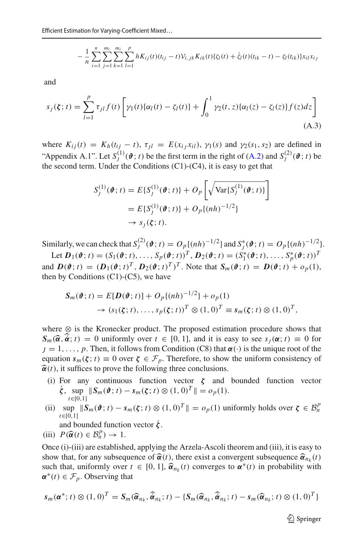$$
- \frac{1}{n} \sum_{i=1}^{n} \sum_{j=1}^{m_i} \sum_{k=1}^{m_i} \sum_{l=1}^{p} h K_{ij}(t) (t_{ij} - t) V_{i,jk} K_{ik}(t) \{ \zeta_l(t) + \dot{\zeta}_l(t) (t_{ik} - t) - \zeta_l(t_{ik}) \} x_{il} x_{ij}
$$

and

and  
\n
$$
s_j(\zeta; t) = \sum_{l=1}^p \tau_{jl} f(t) \left[ \gamma_1(t) \{ \alpha_l(t) - \zeta_l(t) \} + \int_0^1 \gamma_2(t, z) \{ \alpha_l(z) - \zeta_l(z) \} f(z) dz \right]
$$
\n(A.3)

where  $K_{ij}(t) = K_h(t_{ij} - t)$ ,  $\tau_{jl} = E(x_{ij}, x_{il})$ ,  $\gamma_1(s)$  and  $\gamma_2(s_1, s_2)$  are defined in "Appendix A.1". Let  $S_j^{(1)}(\boldsymbol{\vartheta}; t)$  be the first term in the right of [\(A.2\)](#page-17-0) and  $S_j^{(2)}(\boldsymbol{\vartheta}; t)$  be the second term. Under the Conditions (C1)-(C4), it is easy to get that<br> $S_j^{(1)}(\boldsymbol{\vartheta}; t) = E\{S_j^{(1)}(\boldsymbol{\vartheta}; t)\} + O_p\left[\sqrt{\text{$ the second term. Under the Conditions (C1)-(C4), it is easy to get that

<span id="page-18-0"></span>
$$
S_j^{(1)}(\boldsymbol{\vartheta};t) = E\{S_j^{(1)}(\boldsymbol{\vartheta};t)\} + O_p\left[\sqrt{\text{Var}\{S_j^{(1)}(\boldsymbol{\vartheta};t)\}}\right]
$$

$$
= E\{S_j^{(1)}(\boldsymbol{\vartheta};t)\} + O_p\{(nh)^{-1/2}\}
$$

$$
\rightarrow s_j(\boldsymbol{\xi};t).
$$

Similarly, we can check that  $S_j^{(2)}(\boldsymbol{\vartheta}; t) = O_p\{(nh)^{-1/2}\}\$  and  $S_j^*(\boldsymbol{\vartheta}; t) = O_p\{(nh)^{-1/2}\}\$ .

Let  $\mathbf{D}_1(\boldsymbol{\vartheta};t) = (S_1(\boldsymbol{\vartheta};t), \dots, S_p(\boldsymbol{\vartheta};t))^T$ ,  $\mathbf{D}_2(\boldsymbol{\vartheta};t) = (S_1^*(\boldsymbol{\vartheta};t), \dots, S_p^*(\boldsymbol{\vartheta};t))^T$ and  $\mathbf{D}(\boldsymbol{\vartheta};t) = (\mathbf{D}_1(\boldsymbol{\vartheta};t)^T, \mathbf{D}_2(\boldsymbol{\vartheta};t)^T)^T$ . Note that  $\mathbf{S}_m(\boldsymbol{\vartheta};t) = \mathbf{D}(\boldsymbol{\vartheta};t) + o_p(1)$ , then by Conditions  $(C1)-(C5)$ , we have

$$
S_m(\boldsymbol{\vartheta};t) = E[\boldsymbol{D}(\boldsymbol{\vartheta};t)] + O_p\{(nh)^{-1/2}\} + o_p(1)
$$
  
\n
$$
\rightarrow (s_1(\boldsymbol{\zeta};t),\ldots,s_p(\boldsymbol{\zeta};t))^T \otimes (1,0)^T \equiv s_m(\boldsymbol{\zeta};t) \otimes (1,0)^T,
$$

where ⊗ is the Kronecker product. The proposed estimation procedure shows that  $\Rightarrow$   $(s_1(\xi; t), \ldots, s_p(\xi; t))^T \otimes (1, 0)^T \equiv s_m(\xi; t) \otimes (1, 0)^T$ ,<br>where  $\otimes$  is the Kronecker product. The proposed estimation procedure shows that<br> $S_m(\hat{\alpha}, \hat{\alpha}; t) = 0$  uniformly over  $t \in [0, 1]$ , and it is easy to see  $s_j(\alpha; t) \equiv$  $j = 1, \ldots, p$ . Then, it follows from Condition (C8) that  $\alpha(\cdot)$  is the unique root of the equation  $s_m(\zeta; t) \equiv 0$  over  $\zeta \in \mathcal{F}_p$ . Therefore, to show the uniform consistency of  $\hat{\alpha}(t)$ , it suffices to prove the following three conclusions.

- (i) For any continuous function vector *ζ* and bounded function vector  $\dot{\zeta}$ , sup  $\|S_m(\hat{\theta}; t) - s_m(\zeta; t) \otimes (1, 0)^T\| = o_p(1).$ *t*∈[0,1]
- (ii)  $\sup_{t \in [0,1]} \|S_m(\boldsymbol{\vartheta}; t) s_m(\boldsymbol{\zeta}; t) \otimes (1, 0)^T \| = o_p(1)$  uniformly holds over  $\boldsymbol{\zeta} \in \mathcal{B}_n^p$ *t*∈[0,1] (ii)  $\sup_{t \in [0,1]} \|S_m(\boldsymbol{\theta}; t) - s\|_1$ <br>and bounded function<br>(iii)  $P(\hat{\boldsymbol{\alpha}}(t) \in \mathcal{B}_n^p) \to 1.$

and bounded function vector *ζ*˙.

Once (i)-(iii) are established, applying the Arzela-Ascoli theorem and (iii), it is easy to (iii)  $P(\hat{\alpha}(t) \in \mathcal{B}_n^p) \to 1$ .<br>Once (i)-(iii) are established, applying the Arzela-Ascoli theorem and (iii), it is easy to show that, for any subsequence of  $\hat{\alpha}(t)$ , there exist a convergent subsequence  $\hat{\alpha}_{n_k}(t)$ Once (i)-(iii) are established, applying the Arzela-Ascoli theorem and (iii), it is easy to<br>show that, for any subsequence of  $\hat{\alpha}(t)$ , there exist a convergent subsequence  $\hat{\alpha}_{n_k}(t)$ <br>such that, uniformly over  $t \in [0,$  $\alpha^*(t) \in \mathcal{F}_p$ . Observing that<br>  $s_m(\alpha^*; t) \otimes (1, 0)^T = S_m(\widehat{\alpha})$ 

$$
s_m(\boldsymbol{\alpha}^*; t) \otimes (1, 0)^T = S_m(\widehat{\boldsymbol{\alpha}}_{n_k}, \widehat{\boldsymbol{\alpha}}_{n_k}; t) - \{S_m(\widehat{\boldsymbol{\alpha}}_{n_k}, \widehat{\boldsymbol{\alpha}}_{n_k}; t) - s_m(\widehat{\boldsymbol{\alpha}}_{n_k}; t) \otimes (1, 0)^T\}
$$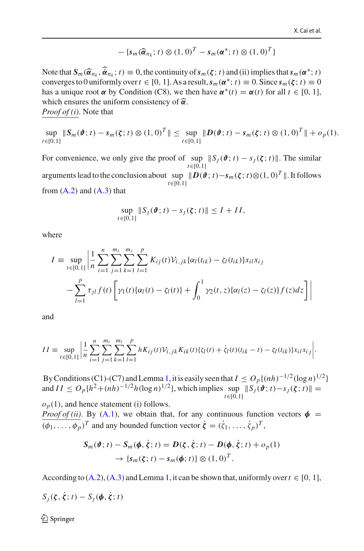$$
-\left\{s_m(\widehat{\boldsymbol{\alpha}}_{n_k}; t) \otimes (1, 0)^T - s_m(\boldsymbol{\alpha}^*; t) \otimes (1, 0)^T\right\}
$$

 $-\{s_m(\hat{\alpha}_{n_k}; t) \otimes (1, 0)^T - s_m(\alpha^*; t) \otimes (1, 0)^T\}$ <br>
Note that  $S_m(\hat{\alpha}_{n_k}, \hat{\alpha}_{n_k}; t) \equiv 0$ , the continuity of  $s_m(\zeta; t)$  and (ii) implies that  $s_m(\alpha^*; t)$ converges to 0 uniformly over  $t \in [0, 1]$ . As a result,  $s_m(\alpha^*; t) \equiv 0$ . Since  $s_m(\zeta; t) \equiv 0$  has a unique root  $\alpha$  by Condition (C8), we then have  $\alpha^*(t) = \alpha(t)$  for all  $t \in [0, 1]$ , which ensures the uniform consistency has a unique root  $\alpha$  by Condition (C8), we then have  $\alpha^*(t) = \alpha(t)$  for all  $t \in [0, 1]$ , which ensures the uniform consistency of  $\hat{\alpha}$ . *Proof of (i)*. Note that

 $\sup_{t \in [0,1]} \|S_m(\boldsymbol{\vartheta};t) - s_m(\boldsymbol{\zeta};t) \otimes (1,0)^T\| \le \sup_{t \in [0,1]} \|D(\boldsymbol{\vartheta};t) - s_m(\boldsymbol{\zeta};t) \otimes (1,0)^T\| + o_p(1).$ *t*∈[0,1]

For convenience, we only give the proof of  $\sup_{t \in [0,1]} \|S_j(\boldsymbol{\vartheta}; t) - s_j(\boldsymbol{\zeta}; t)\|$ . The similar *t*∈[0,1] arguments lead to the conclusion about  $\sup_{\epsilon \in [0,1]} \|D(\vartheta; t) - s_m(\zeta; t) \otimes (1,0)^T\|$ . It follows *t*∈[0,1] from  $(A.2)$  and  $(A.3)$  that

$$
\sup_{t\in[0,1]}\|S_J(\boldsymbol{\vartheta};t)-s_J(\boldsymbol{\zeta};t)\|\leq I+II,
$$

where

$$
I = \sup_{t \in [0,1]} \left| \frac{1}{n} \sum_{i=1}^{n} \sum_{j=1}^{m_i} \sum_{k=1}^{m_i} \sum_{l=1}^{p} K_{ij}(t) V_{i,jk} \{ \alpha_l(t_{ik}) - \zeta_l(t_{ik}) \} x_{il} x_{ij} - \sum_{l=1}^{p} \tau_{jl} f(t) \left[ \gamma_1(t) \{ \alpha_l(t) - \zeta_l(t) \} + \int_0^1 \gamma_2(t,z) \{ \alpha_l(z) - \zeta_l(z) \} f(z) dz \right] \right|
$$

and

$$
II = \sup_{t \in [0,1]} \left| \frac{1}{n} \sum_{i=1}^{n} \sum_{j=1}^{m_i} \sum_{k=1}^{m_i} \sum_{l=1}^{p} h K_{ij}(t) V_{i,jk} K_{ik}(t) \{ \zeta_l(t) + \dot{\zeta}_l(t) (t_{ik} - t) - \zeta_l(t_{ik}) \} x_{il} x_{ij} \right|.
$$

By Conditions (C1)-(C7) and Lemma [1,](#page-17-1) it is easily seen that  $I \n\leq O_p\{(nh)^{-1/2}(\log n)^{1/2}\}\$ and  $II \le O_p\{h^2 + (nh)^{-1/2}h(\log n)^{1/2}\}\,$ , which implies  $\sup_{t \in [0,1]} \|S_j(\hat{\boldsymbol{\theta}}; t) - S_j(\xi; t)\| =$  $o_p(1)$ , and hence statement (i) follows.

*Proof of (ii)*. By [\(A.1\)](#page-17-2), we obtain that, for any continuous function vectors  $\phi$  =  $(\phi_1, \ldots, \phi_p)^T$  and any bounded function vector  $\dot{\zeta} = (\dot{\zeta}_1, \ldots, \dot{\zeta}_p)^T$ ,

$$
S_m(\boldsymbol{\vartheta}; t) - S_m(\boldsymbol{\phi}, \dot{\boldsymbol{\xi}}; t) = D(\boldsymbol{\zeta}, \dot{\boldsymbol{\xi}}; t) - D(\boldsymbol{\phi}, \dot{\boldsymbol{\xi}}; t) + o_p(1)
$$
  
\n
$$
\rightarrow \{s_m(\boldsymbol{\zeta}; t) - s_m(\boldsymbol{\phi}; t)\} \otimes (1, 0)^T.
$$

According to  $(A.2)$ ,  $(A.3)$  and Lemma [1,](#page-17-1) it can be shown that, uniformly over  $t \in [0, 1]$ ,

$$
S_J(\zeta, \dot{\zeta}; t) - S_J(\pmb{\phi}, \dot{\zeta}; t)
$$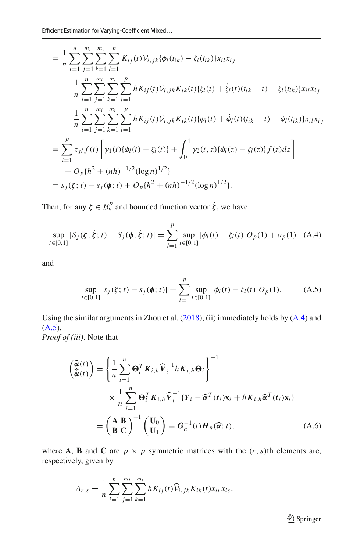$$
= \frac{1}{n} \sum_{i=1}^{n} \sum_{j=1}^{m_i} \sum_{k=1}^{m_i} \sum_{l=1}^{p} K_{ij}(t) V_{i,jk} {\phi_l(t_{ik}) - \zeta_l(t_{ik})} x_{il} x_{ij}
$$
  
\n
$$
- \frac{1}{n} \sum_{i=1}^{n} \sum_{j=1}^{m_i} \sum_{k=1}^{m_i} \sum_{l=1}^{p} h K_{ij}(t) V_{i,jk} K_{ik}(t) {\zeta_l(t) + \dot{\zeta_l}(t) (t_{ik} - t) - \zeta_l(t_{ik})} x_{il} x_{ij}
$$
  
\n
$$
+ \frac{1}{n} \sum_{i=1}^{n} \sum_{j=1}^{m_i} \sum_{k=1}^{m_i} \sum_{l=1}^{m_i} h K_{ij}(t) V_{i,jk} K_{ik}(t) {\phi_l(t) + \dot{\phi_l}(t) (t_{ik} - t) - \phi_l(t_{ik})} x_{il} x_{ij}
$$
  
\n
$$
= \sum_{l=1}^{p} \tau_{jl} f(t) \left[ \gamma_1(t) {\phi_l(t) - \zeta_l(t)} + \int_0^1 \gamma_2(t, z) {\phi_l(z) - \zeta_l(z)} f(z) dz \right]
$$
  
\n
$$
+ O_p \{h^2 + (nh)^{-1/2} (\log n)^{1/2} \}
$$
  
\n
$$
\equiv s_j(\zeta; t) - s_j(\phi; t) + O_p \{h^2 + (nh)^{-1/2} (\log n)^{1/2} \}.
$$

Then, for any 
$$
\zeta \in \mathcal{B}_n^p
$$
 and bounded function vector  $\dot{\zeta}$ , we have  
\n
$$
\sup_{t \in [0,1]} |S_j(\zeta, \dot{\zeta}; t) - S_j(\phi, \dot{\zeta}; t)| = \sum_{l=1}^p \sup_{t \in [0,1]} |\phi_l(t) - \zeta_l(t)| O_p(1) + o_p(1)
$$
 (A.4)

and

<span id="page-20-1"></span><span id="page-20-0"></span>
$$
\sup_{t \in [0,1]} |s_j(\boldsymbol{\zeta}; t) - s_j(\boldsymbol{\phi}; t)| = \sum_{l=1}^p \sup_{t \in [0,1]} |\phi_l(t) - \zeta_l(t)| O_p(1).
$$
 (A.5)

Using the similar arguments in Zhou et al[.](#page-27-21) [\(2018\)](#page-27-21), (ii) immediately holds by [\(A.4\)](#page-20-0) and  $(A.5)$ . *Proof of (iii)*. Note that -

-

$$
\begin{aligned}\n\left(\begin{matrix}\n\widehat{\alpha}(t) \\
\widehat{\alpha}(t)\n\end{matrix}\right) &= \left\{\frac{1}{n}\sum_{i=1}^{n} \mathbf{\Theta}_{i}^{T} K_{i,h} \widehat{\mathbf{V}}_{i}^{-1} h K_{i,h} \mathbf{\Theta}_{i}\right\}^{-1} \\
&\times \frac{1}{n}\sum_{i=1}^{n} \mathbf{\Theta}_{i}^{T} K_{i,h} \widehat{\mathbf{V}}_{i}^{-1} \{Y_{i} - \widehat{\alpha}^{T}(t_{i}) \mathbf{x}_{i} + h K_{i,h} \widehat{\alpha}^{T}(t_{i}) \mathbf{x}_{i}\} \\
&= \left(\begin{matrix}\n\mathbf{A} & \mathbf{B} \\
\mathbf{B} & \mathbf{C}\n\end{matrix}\right)^{-1} \left(\begin{matrix}\n\mathbf{U}_{0} \\
\mathbf{U}_{1}\n\end{matrix}\right) \equiv G_{n}^{-1}(t) H_{n}(\widehat{\alpha}; t),\n\end{aligned} \tag{A.6}
$$

where **A**, **B** and **C** are  $p \times p$  symmetric matrices with the  $(r, s)$ th elements are, respectively, given by

$$
A_{r,s} = \frac{1}{n} \sum_{i=1}^{n} \sum_{j=1}^{m_i} \sum_{k=1}^{m_i} h K_{ij}(t) \widehat{\mathcal{V}}_{i,jk} K_{ik}(t) x_{ir} x_{is},
$$

<span id="page-20-2"></span><sup>2</sup> Springer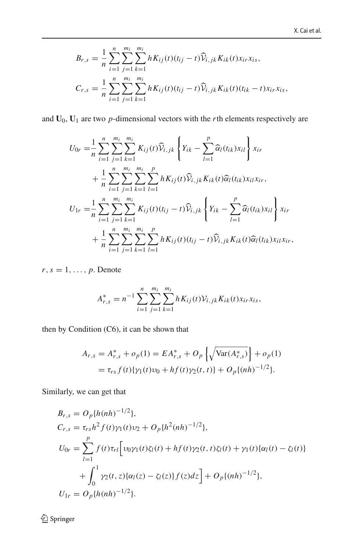$$
B_{r,s} = \frac{1}{n} \sum_{i=1}^{n} \sum_{j=1}^{m_i} \sum_{k=1}^{m_i} h K_{ij}(t) (t_{ij} - t) \widehat{V}_{i,jk} K_{ik}(t) x_{ir} x_{is},
$$
  

$$
C_{r,s} = \frac{1}{n} \sum_{i=1}^{n} \sum_{j=1}^{m_i} \sum_{k=1}^{m_i} h K_{ij}(t) (t_{ij} - t) \widehat{V}_{i,jk} K_{ik}(t) (t_{ik} - t) x_{ir} x_{is},
$$

and  $U_0$ ,  $U_1$  are two *p*-dimensional vectors with the *r*th elements respectively are  $\overline{u}$ 

$$
U_1 \text{ are two } p\text{-dimensional vectors with the } r\text{th elements respectively}
$$
\n
$$
U_{0r} = \frac{1}{n} \sum_{i=1}^n \sum_{j=1}^{m_i} \sum_{k=1}^{m_i} K_{ij}(t) \widehat{V}_{i,jk} \left\{ Y_{ik} - \sum_{l=1}^p \widehat{\alpha}_l(t_{ik}) x_{il} \right\} x_{ir}
$$
\n
$$
+ \frac{1}{n} \sum_{i=1}^n \sum_{j=1}^{m_i} \sum_{k=1}^{m_i} \sum_{l=1}^p h K_{ij}(t) \widehat{V}_{i,jk} K_{ik}(t) \widehat{\alpha}_l(t_{ik}) x_{il} x_{ir},
$$
\n
$$
U_{1r} = \frac{1}{n} \sum_{i=1}^n \sum_{j=1}^{m_i} \sum_{k=1}^{m_i} K_{ij}(t) (t_{ij} - t) \widehat{V}_{i,jk} \left\{ Y_{ik} - \sum_{l=1}^p \widehat{\alpha}_l(t_{ik}) x_{il} \right\} x_{ir}
$$
\n
$$
+ \frac{1}{n} \sum_{i=1}^n \sum_{j=1}^{m_i} \sum_{k=1}^{m_i} \sum_{l=1}^p h K_{ij}(t) (t_{ij} - t) \widehat{V}_{i,jk} K_{ik}(t) \widehat{\alpha}_l(t_{ik}) x_{il} x_{ir},
$$

r, s = 1, ..., p. Denote  

$$
A_{r,s}^{*} = n^{-1} \sum_{i=1}^{n} \sum_{j=1}^{m_i} \sum_{k=1}^{m_i} h K_{ij}(t) V_{i,jk} K_{ik}(t) x_{ir} x_{is},
$$

then by Condition (C6), it can be shown that

addition (C6), it can be shown that  
\n
$$
A_{r,s} = A_{r,s}^* + o_p(1) = EA_{r,s}^* + O_p \left\{ \sqrt{\text{Var}(A_{r,s}^*)} \right\} + o_p(1)
$$
\n
$$
= \tau_{rs} f(t) \{ \gamma_1(t) v_0 + hf(t) \gamma_2(t,t) \} + O_p \{(nh)^{-1/2} \}.
$$

Similarly, we can get that

$$
B_{r,s} = O_p\{h(nh)^{-1/2}\},
$$
  
\n
$$
C_{r,s} = \tau_{rs}h^2 f(t)\gamma_1(t)\nu_2 + O_p\{h^2(nh)^{-1/2}\},
$$
  
\n
$$
U_{0r} = \sum_{l=1}^p f(t)\tau_{rl} \Big[ \nu_0\gamma_1(t)\zeta_l(t) + hf(t)\gamma_2(t,t)\zeta_l(t) + \gamma_1(t)\{\alpha_l(t) - \zeta_l(t)\} + \int_0^1 \gamma_2(t,z)\{\alpha_l(z) - \zeta_l(z)\}f(z)dz \Big] + O_p\{(nh)^{-1/2}\},
$$
  
\n
$$
U_{1r} = O_p\{h(nh)^{-1/2}\}.
$$

 $\underline{\textcircled{\tiny 2}}$  Springer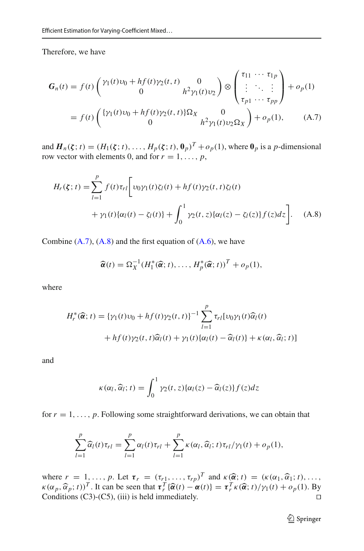Therefore, we have

<span id="page-22-0"></span>
$$
G_n(t) = f(t) \begin{pmatrix} \gamma_1(t)\nu_0 + hf(t)\gamma_2(t, t) & 0 \\ 0 & h^2\gamma_1(t)\nu_2 \end{pmatrix} \otimes \begin{pmatrix} \tau_{11} & \cdots & \tau_{1p} \\ \vdots & \ddots & \vdots \\ \tau_{p1} & \cdots & \tau_{pp} \end{pmatrix} + o_p(1)
$$
  
=  $f(t) \begin{pmatrix} {\gamma_1(t)\nu_0 + hf(t)\gamma_2(t, t)}\Omega_X & 0 \\ 0 & h^2\gamma_1(t)\nu_2\Omega_X \end{pmatrix} + o_p(1),$  (A.7)

and  $\mathbf{H}_n(\boldsymbol{\zeta}; t) = (H_1(\boldsymbol{\zeta}; t), \dots, H_p(\boldsymbol{\zeta}; t), \mathbf{0}_p)^T + o_p(1)$ , where  $\mathbf{0}_p$  is a *p*-dimensional

and 
$$
\boldsymbol{H}_n(\boldsymbol{\zeta}; t) = (H_1(\boldsymbol{\zeta}; t), \dots, H_p(\boldsymbol{\zeta}; t), \boldsymbol{\theta}_p)^2 + o_p(1)
$$
, where  $\boldsymbol{\theta}_p$  is a *p*-dimensional  
row vector with elements 0, and for  $r = 1, \dots, p$ ,  

$$
H_r(\boldsymbol{\zeta}; t) = \sum_{l=1}^p f(t) \tau_{rl} \bigg[ v_0 \gamma_1(t) \zeta_l(t) + h f(t) \gamma_2(t, t) \zeta_l(t) + \gamma_1(t) \{ \alpha_l(t) - \zeta_l(t) \} + \int_0^1 \gamma_2(t, z) \{ \alpha_l(z) - \zeta_l(z) \} f(z) dz \bigg]. \quad \text{(A.8)}
$$

Combine (A.7), (A.8) and the first equation of (A.6), we have  
\n
$$
\widehat{\alpha}(t) = \Omega_X^{-1} (H_1^*(\widehat{\alpha}; t), \dots, H_p^*(\widehat{\alpha}; t))^T + o_p(1),
$$

where

<span id="page-22-1"></span>
$$
H_r^*(\widehat{\alpha}; t) = {\gamma_1(t)\nu_0 + hf(t)\gamma_2(t, t)}^{-1} \sum_{l=1}^p \tau_{rl}[\nu_0\gamma_1(t)\widehat{\alpha}_l(t) + hf(t)\gamma_2(t, t)\widehat{\alpha}_l(t) + \gamma_1(t)\{\alpha_l(t) - \widehat{\alpha}_l(t)\} + \kappa(\alpha_l, \widehat{\alpha}_l; t)]
$$

and

$$
\kappa(\alpha_l, \widehat{\alpha}_l; t) = \int_0^1 \gamma_2(t, z) \{\alpha_l(z) - \widehat{\alpha}_l(z)\} f(z) dz
$$

for  $r = 1, \ldots, p$ . Following some straightforward derivations, we can obtain that -

..., *p*. Following some straightforward derivations, we can obt  
\n
$$
\sum_{l=1}^{p} \hat{\alpha}_l(t)\tau_{rl} = \sum_{l=1}^{p} \alpha_l(t)\tau_{rl} + \sum_{l=1}^{p} \kappa(\alpha_l, \hat{\alpha}_l; t)\tau_{rl}/\gamma_1(t) + o_p(1),
$$

where  $r = 1, ..., p$ . Let  $\tau_r = (\tau_{r1}, ..., \tau_{rp})^T$  and  $\kappa(\hat{\alpha}; t) = (\kappa(\alpha_1, \hat{\alpha}_1; t), ...,$ where  $r = 1, ..., p$ . Let  $\tau_r = (\tau_{r1}, ..., \tau_{rp})^T$  and  $\kappa(\hat{\alpha}; t) = (\kappa(\alpha_1, \hat{\alpha}_1; t), ..., \kappa(\alpha_p, \hat{\alpha}_p; t))^T$ . It can be seen that  $\tau_r^T {\hat{\alpha}(t) - \alpha(t)} = \tau_r^T \kappa(\hat{\alpha}; t) / \gamma_1(t) + o_p(1)$ . By Conditions (C3)-(C5), (iii) is held immediately.  $\square$ 

<sup>2</sup> Springer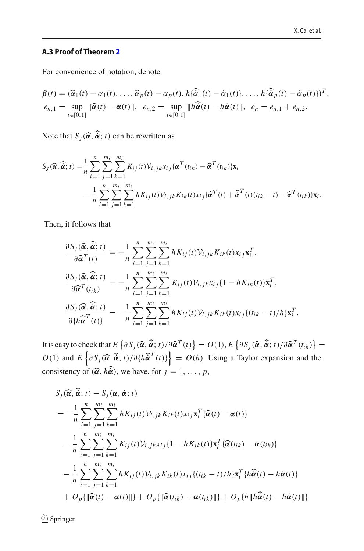## **A.3 Proof of Theorem [2](#page-7-2)**

For convenience of notation, denote  
\n
$$
\boldsymbol{\beta}(t) = (\widehat{\alpha}_1(t) - \alpha_1(t), \dots, \widehat{\alpha}_p(t) - \alpha_p(t), h\{\widehat{\alpha}_1(t) - \dot{\alpha}_1(t)\}, \dots, h\{\widehat{\alpha}_p(t) - \dot{\alpha}_p(t)\}\}^T,
$$
\n
$$
e_{n,1} = \sup_{t \in [0,1]} \|\widehat{\boldsymbol{\alpha}}(t) - \boldsymbol{\alpha}(t)\|, e_{n,2} = \sup_{t \in [0,1]} \|h\widehat{\boldsymbol{\alpha}}(t) - h\dot{\boldsymbol{\alpha}}(t)\|, e_n = e_{n,1} + e_{n,2}.
$$
\nNote that  $S_j(\widehat{\boldsymbol{\alpha}}, \widehat{\boldsymbol{\alpha}}; t)$  can be rewritten as

$$
S_j(\widehat{\boldsymbol{\alpha}}, \widehat{\boldsymbol{\alpha}}; t) = \frac{1}{n} \sum_{i=1}^n \sum_{j=1}^{m_i} \sum_{k=1}^{m_i} K_{ij}(t) \mathcal{V}_{i,jk} x_{i,j} {\{\boldsymbol{\alpha}^T(t_{ik}) - \widehat{\boldsymbol{\alpha}}^T(t_{ik})\} \mathbf{x}_i
$$
  

$$
- \frac{1}{n} \sum_{i=1}^n \sum_{j=1}^{m_i} \sum_{k=1}^{m_i} h K_{ij}(t) \mathcal{V}_{i,jk} K_{ik}(t) x_{i,j} {\{\widehat{\boldsymbol{\alpha}}^T(t) + \widehat{\boldsymbol{\alpha}}^T(t)(t_{ik} - t) - \widehat{\boldsymbol{\alpha}}^T(t_{ik})\} \mathbf{x}_i.
$$

Then, it follows that  
\n
$$
\frac{\partial S_j(\widehat{\alpha}, \widehat{\alpha}; t)}{\partial \widehat{\alpha}^T(t)} = -\frac{1}{n} \sum_{i=1}^n \sum_{j=1}^{m_i} \sum_{k=1}^{m_i} h K_{ij}(t) V_{i,jk} K_{ik}(t) x_{i,j} \mathbf{x}_i^T,
$$
\n
$$
\frac{\partial S_j(\widehat{\alpha}, \widehat{\alpha}; t)}{\partial \widehat{\alpha}^T(t_{ik})} = -\frac{1}{n} \sum_{i=1}^n \sum_{j=1}^{m_i} \sum_{k=1}^{m_i} K_{ij}(t) V_{i,jk} x_{i,j} \{1 - h K_{ik}(t) \} \mathbf{x}_i^T,
$$
\n
$$
\frac{\partial S_j(\widehat{\alpha}, \widehat{\alpha}; t)}{\partial \{h \widehat{\alpha}^T(t)\}} = -\frac{1}{n} \sum_{i=1}^n \sum_{j=1}^{m_i} \sum_{k=1}^{m_i} h K_{ij}(t) V_{i,jk} K_{ik}(t) x_{i,j} \{(t_{ik} - t)/h\} \mathbf{x}_i^T.
$$
\nIt is easy to check that  $E\{ \partial S_j(\widehat{\alpha}, \widehat{\alpha}; t) / \partial \widehat{\alpha}^T(t) \} = O(1), E\{ \partial S_j(\widehat{\alpha}, \widehat{\alpha}; t) / \partial \widehat{\alpha}^T(t_{ik}) \} =$ 

*O*(1) and *E*  $\begin{aligned} \n\text{cck that } & E\left\{\partial S_j(\widehat{\boldsymbol{\alpha}}, \widehat{\boldsymbol{\alpha}}; t)/\partial \widehat{\boldsymbol{\alpha}}^T(t)\right\} = O(1), E\left\{\partial S_j(\widehat{\boldsymbol{\alpha}}, \widehat{\boldsymbol{\alpha}}; t)/\partial \widehat{\boldsymbol{\alpha}}^T(t_{ik})\right\} \\ \n\partial S_j(\widehat{\boldsymbol{\alpha}}, \widehat{\boldsymbol{\alpha}}; t)/\partial \{h \widehat{\boldsymbol{\alpha}}^T(t)\}\n\end{aligned} = O(h).$  Using a Taylor expansion and the It is easy to check that  $O(1)$  and  $E\left\{\partial S_j(\hat{\boldsymbol{\alpha}}, h\hat{\boldsymbol{\alpha}})\right\}$ <br>consistency of  $(\hat{\boldsymbol{\alpha}}, h\hat{\boldsymbol{\alpha}})$ sistency of  $(\hat{\alpha}, h\hat{\alpha})$ , we have, for  $j = 1, ..., p$ ,<br>  $S_j(\hat{\alpha}, \hat{\alpha}; t) - S_j(\alpha, \dot{\alpha}; t)$ 

$$
S_j(\widehat{\alpha}, \widehat{\alpha}; t) - S_j(\alpha, \dot{\alpha}; t)
$$
  
= 
$$
-\frac{1}{n} \sum_{i=1}^n \sum_{j=1}^{m_i} \sum_{k=1}^{m_i} hK_{ij}(t) V_{i,jk} K_{ik}(t) x_{i,j} \mathbf{x}_i^T \{\widehat{\alpha}(t) - \alpha(t)\}\
$$
  

$$
- \frac{1}{n} \sum_{i=1}^n \sum_{j=1}^{m_i} \sum_{k=1}^{m_i} K_{ij}(t) V_{i,jk} x_{i,j} \{1 - hK_{ik}(t)\} \mathbf{x}_i^T \{\widehat{\alpha}(t_{ik}) - \alpha(t_{ik})\}\
$$
  

$$
- \frac{1}{n} \sum_{i=1}^n \sum_{j=1}^{m_i} \sum_{k=1}^{m_i} hK_{ij}(t) V_{i,jk} K_{ik}(t) x_{i,j} \{(t_{ik} - t)/h\} \mathbf{x}_i^T \{h\widehat{\alpha}(t) - h\dot{\alpha}(t)\}\
$$
  
+ 
$$
O_p\{\|\widehat{\alpha}(t) - \alpha(t)\|\} + O_p\{\|\widehat{\alpha}(t_{ik}) - \alpha(t_{ik})\|\} + O_p\{h\|\widehat{h\alpha}(t) - h\dot{\alpha}(t)\|\}
$$

 $\underline{\textcircled{\tiny 2}}$  Springer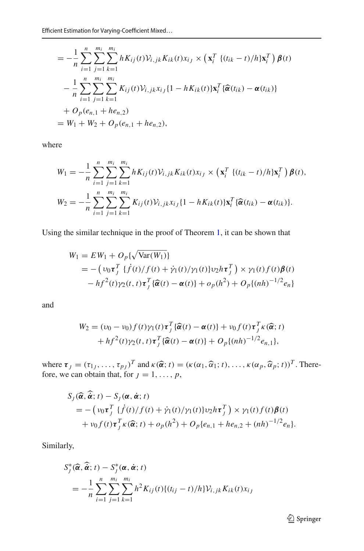$$
\begin{split}\n&\text{Efficient Estimation for Varying-Coefficient Mixed...} \\
&= -\frac{1}{n} \sum_{i=1}^{n} \sum_{j=1}^{m_i} \sum_{k=1}^{m_i} h K_{ij}(t) V_{i,jk} K_{ik}(t) x_{ij} \times \left( \mathbf{x}_i^T \left\{ (t_{ik} - t) / h \right\} \mathbf{x}_i^T \right) \boldsymbol{\beta}(t) \\
&- \frac{1}{n} \sum_{i=1}^{n} \sum_{j=1}^{m_i} \sum_{k=1}^{m_i} K_{ij}(t) V_{i,jk} x_{ij} \{1 - h K_{ik}(t) \} \mathbf{x}_i^T \{ \widehat{\boldsymbol{\alpha}}(t_{ik}) - \boldsymbol{\alpha}(t_{ik}) \} \\
&+ O_p(e_{n,1} + he_{n,2}) \\
&= W_1 + W_2 + O_p(e_{n,1} + he_{n,2}),\n\end{split}
$$

where

re  
\n
$$
W_1 = -\frac{1}{n} \sum_{i=1}^n \sum_{j=1}^{m_i} \sum_{k=1}^{m_i} h K_{ij}(t) V_{i,jk} K_{ik}(t) x_{ij} \times (\mathbf{x}_i^T \{ (t_{ik} - t)/h \} \mathbf{x}_i^T) \boldsymbol{\beta}(t),
$$
\n
$$
W_2 = -\frac{1}{n} \sum_{i=1}^n \sum_{j=1}^{m_i} \sum_{k=1}^{m_i} K_{ij}(t) V_{i,jk} x_{ij} \{1 - h K_{ik}(t) \} \mathbf{x}_i^T \{ \widehat{\boldsymbol{\alpha}}(t_{ik}) - \boldsymbol{\alpha}(t_{ik}) \}.
$$

Using the similar technique in the proof of Theorem 1, it can be shown that  
\n
$$
W_1 = EW_1 + O_p\{\sqrt{\text{Var}(W_1)}\}
$$
\n
$$
= -\left(\upsilon_0 \tau_j^T \{\dot{f}(t)/f(t) + \dot{\gamma}_1(t)/\gamma_1(t)\} \upsilon_2 h \tau_j^T\right) \times \gamma_1(t) f(t) \beta(t)
$$
\n
$$
-hf^2(t)\gamma_2(t, t) \tau_j^T \{\widehat{\alpha}(t) - \alpha(t)\} + o_p(h^2) + O_p\{(nh)^{-1/2}e_n\}
$$

and

$$
W_2 = (\nu_0 - \nu_0) f(t) \gamma_1(t) \tau_J^T \{\widehat{\boldsymbol{\alpha}}(t) - \boldsymbol{\alpha}(t)\} + \nu_0 f(t) \tau_J^T \kappa(\widehat{\boldsymbol{\alpha}}; t) + hf^2(t) \gamma_2(t, t) \tau_J^T \{\widehat{\boldsymbol{\alpha}}(t) - \boldsymbol{\alpha}(t)\} + O_p\{(nh)^{-1/2}e_{n,1}\},
$$

 $+hf^{2}(t)\gamma_{2}(t, t)\tau_{j}^{T}\{\widehat{\alpha}(t) - \alpha(t)\} + O_{p}\{(nh)^{-1/2}e_{n,1}\},$ <br>where  $\tau_{j} = (\tau_{1j}, \ldots, \tau_{pj})^{T}$  and  $\kappa(\widehat{\alpha}; t) = (\kappa(\alpha_{1}, \widehat{\alpha}_{1}; t), \ldots, \kappa(\alpha_{p}, \widehat{\alpha}_{p}; t))^{T}$ . Therefore, we can obtain that, for  $j = 1, ..., p$ ,<br> *S<sub>j</sub>* ( $\hat{\alpha}$ ,  $\hat{\alpha}$ ; *t*) – *S<sub>j</sub>* ( $\alpha$ ,  $\dot{\alpha}$ ; *t*)

$$
\begin{aligned} \n\text{For } \mathbf{a} \text{ is } \mathbf{a} \text{ is } \mathbf{a} \text{ is } \mathbf{a} \text{ is } \mathbf{a} \text{ is } \mathbf{a} \text{ is } \mathbf{a} \text{ is } \mathbf{a} \text{ is } \mathbf{a} \text{ is } \mathbf{a} \text{ is } \mathbf{a} \text{ is } \mathbf{a} \text{ is } \mathbf{a} \text{ is } \mathbf{a} \text{ is } \mathbf{a} \text{ is } \mathbf{a} \text{ is } \mathbf{a} \text{ is } \mathbf{a} \text{ is } \mathbf{a} \text{ is } \mathbf{a} \text{ is } \mathbf{a} \text{ is } \mathbf{a} \text{ is } \mathbf{a} \text{ is } \mathbf{a} \text{ is } \mathbf{a} \text{ is } \mathbf{a} \text{ is } \mathbf{a} \text{ is } \mathbf{a} \text{ is } \mathbf{a} \text{ is } \mathbf{a} \text{ is } \mathbf{a} \text{ is } \mathbf{a} \text{ is } \mathbf{a} \text{ is } \mathbf{a} \text{ is } \mathbf{a} \text{ is } \mathbf{a} \text{ is } \mathbf{a} \text{ is } \mathbf{a} \text{ is } \mathbf{a} \text{ is } \mathbf{a} \text{ is } \mathbf{a} \text{ is } \mathbf{a} \text{ is } \mathbf{a} \text{ is } \mathbf{a} \text{ is } \mathbf{a} \text{ is } \mathbf{a} \text{ is } \mathbf{a} \text{ is } \mathbf{a} \text{ is } \mathbf{a} \text{ is } \mathbf{a} \text{ is } \mathbf{a} \text{ is } \mathbf{a} \text{ is } \mathbf{a} \text{ is } \mathbf{a} \text{ is } \mathbf{a} \text{ is } \mathbf{a} \text{ is } \mathbf{a} \text{ is } \mathbf{a} \text{ is } \mathbf{a} \text{ is } \mathbf{a} \text{ is } \mathbf{a} \text{ is } \mathbf{a} \text{ is } \mathbf{a} \text{ is } \mathbf{a} \text{ is } \mathbf{a} \text{ is } \mathbf{a} \text{ is } \mathbf{a} \text{ is } \mathbf{a} \text{ is }
$$

Similarly,<br> $S_j^*(\widehat{\boldsymbol{\alpha}})$ 

$$
\begin{aligned} \n\text{rly,} \\ S_j^*(\widehat{\alpha}, \widehat{\dot{\alpha}}; t) - S_j^*(\alpha, \dot{\alpha}; t) \\ \n&= -\frac{1}{n} \sum_{i=1}^n \sum_{j=1}^{m_i} \sum_{k=1}^{m_i} h^2 K_{ij}(t) \{ (t_{ij} - t)/h \} \mathcal{V}_{i,jk} K_{ik}(t) x_{ij} \n\end{aligned}
$$

<sup>2</sup> Springer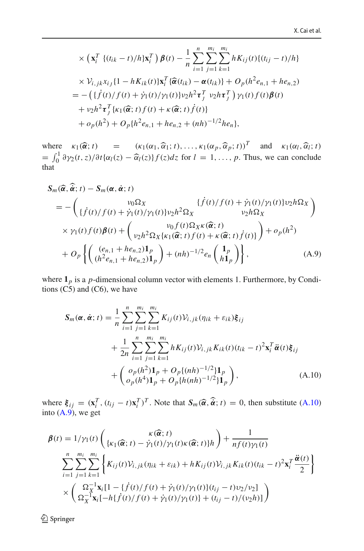x.  
\n
$$
\times (\mathbf{x}_i^T \{(t_{ik} - t)/h\} \mathbf{x}_i^T) \boldsymbol{\beta}(t) - \frac{1}{n} \sum_{i=1}^n \sum_{j=1}^{m_i} \sum_{k=1}^{m_i} h K_{ij}(t) \{(t_{ij} - t)/h\} \times V_{i,jk} x_{ij} \{1 - h K_{ik}(t)\} \mathbf{x}_i^T \{\hat{\boldsymbol{\alpha}}(t_{ik}) - \boldsymbol{\alpha}(t_{ik})\} + O_p(h^2 e_{n,1} + h e_{n,2})
$$
\n
$$
= -(\{\dot{f}(t)/f(t) + \dot{\gamma}_1(t)/\gamma_1(t)\} \nu_2 h^2 \boldsymbol{\tau}_j^T \nu_2 h \boldsymbol{\tau}_j^T) \gamma_1(t) f(t) \boldsymbol{\beta}(t)
$$
\n
$$
+ \nu_2 h^2 \boldsymbol{\tau}_j^T \{k_1(\hat{\boldsymbol{\alpha}}; t) f(t) + \kappa(\hat{\boldsymbol{\alpha}}; t) \dot{f}(t)\}
$$
\n
$$
+ o_p(h^2) + O_p\{h^2 e_{n,1} + h e_{n,2} + (nh)^{-1/2} h e_n\},
$$

 $+ o_p(h^2) + O_p\{h^2 e_{n,1} + h e_{n,2} + (nh)^{-1/2} h e_n\},$ <br>where  $\kappa_1(\hat{\alpha}; t)$  =  $(\kappa_1(\alpha_1, \hat{\alpha}_1; t), \dots, \kappa_1(\alpha_p, \hat{\alpha}_p; t))^T$  and  $\kappa_1(\alpha_l, \hat{\alpha}_l; t)$  $+ o_p(h^2) + O_p\{h^2e_{n,1} + he_{n,2} + (nh)^{-1/2}he_n\},$ <br>
where  $\kappa_1(\hat{\alpha}; t) = (\kappa_1(\alpha_1, \hat{\alpha}_1; t), \dots, \kappa_1(\alpha_p, \hat{\alpha}_p; t))^T$  and  $\kappa_1(\alpha_l, \hat{\alpha}_l; t)$ <br>  $= \int_0^1 \partial \gamma_2(t, z)/\partial t \{\alpha_l(z) - \hat{\alpha}_l(z)\} f(z) dz$  for  $l = 1, \dots, p$ . Thus, we can conclude<br>
that that

at  
\n
$$
S_m(\widehat{\alpha}, \widehat{\alpha}; t) - S_m(\alpha, \dot{\alpha}; t)
$$
\n
$$
= -\begin{pmatrix} v_0 \Omega_X & \{f(t)/f(t) + \dot{\gamma}_1(t)/\gamma_1(t)\}v_2h\Omega_X \\ \{f(t)/f(t) + \dot{\gamma}_1(t)/\gamma_1(t)\}v_2h^2\Omega_X & v_2h\Omega_X \end{pmatrix}
$$
\n
$$
\times \gamma_1(t) f(t) \beta(t) + \begin{pmatrix} v_0 f(t) \Omega_X \kappa(\widehat{\alpha}; t) \\ v_2 h^2 \Omega_X \{k_1(\widehat{\alpha}; t) f(t) + \kappa(\widehat{\alpha}; t) f(t)\} \end{pmatrix} + o_p(h^2)
$$
\n
$$
+ O_p \left\{ \begin{pmatrix} (e_{n,1} + h e_{n,2}) \mathbf{1}_p \\ (h^2 e_{n,1} + h e_{n,2}) \mathbf{1}_p \end{pmatrix} + (nh)^{-1/2} e_n \begin{pmatrix} \mathbf{1}_p \\ h \mathbf{1}_p \end{pmatrix} \right\}, \tag{A.9}
$$

where  $\mathbf{1}_p$  is a *p*-dimensional column vector with elements 1. Furthermore, by Conditions  $(C5)$  and  $(C6)$ , we have

<span id="page-25-1"></span><span id="page-25-0"></span>
$$
S_m(\boldsymbol{\alpha}, \dot{\boldsymbol{\alpha}}; t) = \frac{1}{n} \sum_{i=1}^n \sum_{j=1}^{m_i} \sum_{k=1}^{m_i} K_{ij}(t) V_{i,jk}(\eta_{ik} + \varepsilon_{ik}) \xi_{ij}
$$
  
+ 
$$
\frac{1}{2n} \sum_{i=1}^n \sum_{j=1}^{m_i} \sum_{k=1}^{m_i} h K_{ij}(t) V_{i,jk} K_{ik}(t) (t_{ik} - t)^2 \mathbf{x}_i^T \ddot{\boldsymbol{\alpha}}(t) \xi_{ij}
$$
  
+ 
$$
\begin{pmatrix} o_p(h^2) \mathbf{1}_p + O_p\{(nh)^{-1/2}\} \mathbf{1}_p \\ o_p(h^4) \mathbf{1}_p + O_p\{h(nh)^{-1/2}\} \mathbf{1}_p \end{pmatrix},
$$
(A.10)

where  $\xi_{ij} = (\mathbf{x}_i^T, (t_{ij} - t)\mathbf{x}_i^T)^T$ . Note that  $S_m(\hat{\boldsymbol{\alpha}}, \hat{\boldsymbol{\alpha}}; t) = 0$ , then substitute [\(A.10\)](#page-25-0)<br>into (A.9), we get<br> $\theta(t) = 1/\pi(t)$  (c)  $\begin{pmatrix} \kappa(\hat{\boldsymbol{\alpha}}; t) & \lambda \end{pmatrix}$  + 1 into  $(A.9)$ , we get

$$
\beta(t) = 1/\gamma_1(t) \begin{pmatrix} \kappa(\widehat{\alpha}; t) \\ \{\kappa_1(\widehat{\alpha}; t) - \dot{\gamma}_1(t)/\gamma_1(t)\kappa(\widehat{\alpha}; t)\}h \end{pmatrix} + \frac{1}{nf(t)\gamma_1(t)} \n\sum_{i=1}^n \sum_{j=1}^{m_i} \begin{cases} K_{ij}(t) V_{i,jk}(\eta_{ik} + \varepsilon_{ik}) + h K_{ij}(t) V_{i,jk} K_{ik}(t) (t_{ik} - t)^2 \mathbf{x}_i^T \frac{\ddot{\alpha}(t)}{2} \end{cases} \n\times \begin{pmatrix} \Omega_X^{-1} \mathbf{x}_i [1 - \{\dot{f}(t)/f(t) + \dot{\gamma}_1(t)/\gamma_1(t)\} (t_{ij} - t) v_2/v_2] \\ \Omega_X^{-1} \mathbf{x}_i [-h\{\dot{f}(t)/f(t) + \dot{\gamma}_1(t)/\gamma_1(t)\} + (t_{ij} - t)/(\nu_2 h)] \end{pmatrix}
$$

 $\hat{2}$  Springer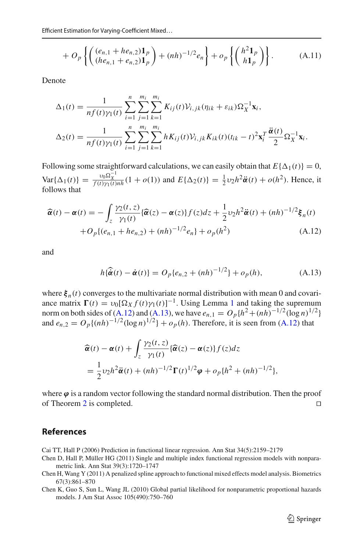$$
+ O_p\left\{ \left( \frac{(e_{n,1} + he_{n,2})\mathbf{1}_p}{(he_{n,1} + e_{n,2})\mathbf{1}_p} \right) + (nh)^{-1/2} e_n \right\} + o_p\left\{ \left( \frac{h^2 \mathbf{1}_p}{h \mathbf{1}_p} \right) \right\}.
$$
 (A.11)

Denote

$$
\Delta_1(t) = \frac{1}{nf(t)\gamma_1(t)} \sum_{i=1}^n \sum_{j=1}^{m_i} \sum_{k=1}^{m_i} K_{ij}(t) \mathcal{V}_{i,jk}(\eta_{ik} + \varepsilon_{ik}) \Omega_X^{-1} \mathbf{x}_i,
$$
  

$$
\Delta_2(t) = \frac{1}{nf(t)\gamma_1(t)} \sum_{i=1}^n \sum_{j=1}^{m_i} \sum_{k=1}^{m_i} h K_{ij}(t) \mathcal{V}_{i,jk} K_{ik}(t) (t_{ik} - t)^2 \mathbf{x}_i^T \frac{\ddot{\alpha}(t)}{2} \Omega_X^{-1} \mathbf{x}_i.
$$

Following some straightforward calculations, we can easily obtain that  $E\{\Delta_1(t)\} = 0$ , Var $\{\Delta_1(t)\} = \frac{v_0 \Omega_X^{-1}}{f(t)\gamma_1(t)nh}(1 + o(1))$  and  $E\{\Delta_2(t)\} = \frac{1}{2}v_2 h^2 \ddot{\alpha}(t) + o(h^2)$ . Hence, it<br>follows that<br> $\hat{\alpha}(t) - \alpha(t) = -\int_z \frac{\gamma_2(t, z)}{\gamma_1(t)} {\{\hat{\alpha}(z) - \alpha(z)\} f(z) dz} + \frac{1}{2}v_2 h^2 \ddot{\alpha}(t) + (nh)^{-1/2} \xi_n(t)$ follows that

$$
\widehat{\alpha}(t) - \alpha(t) = -\int_{z} \frac{\gamma_2(t, z)}{\gamma_1(t)} \{ \widehat{\alpha}(z) - \alpha(z) \} f(z) dz + \frac{1}{2} \nu_2 h^2 \ddot{\alpha}(t) + (nh)^{-1/2} \xi_n(t) + O_p\{(e_{n,1} + he_{n,2}) + (nh)^{-1/2} e_n\} + o_p(h^2)
$$
\n(A.12)

and

<span id="page-26-5"></span><span id="page-26-4"></span>
$$
h\{\hat{\vec{\alpha}}(t) - \dot{\alpha}(t)\} = O_p\{e_{n,2} + (nh)^{-1/2}\} + o_p(h),
$$
 (A.13)

where  $\xi_n(t)$  converges to the multivariate normal distribution with mean 0 and covariance matrix  $\Gamma(t) = v_0 [\Omega_X f(t) \gamma_1(t)]^{-1}$  $\Gamma(t) = v_0 [\Omega_X f(t) \gamma_1(t)]^{-1}$  $\Gamma(t) = v_0 [\Omega_X f(t) \gamma_1(t)]^{-1}$ . Using Lemma 1 and taking the supremum norm on both sides of [\(A.12\)](#page-26-4) and [\(A.13\)](#page-26-5), we have  $e_{n,1} = O_p\{h^2 + (nh)^{-1/2}(\log n)^{1/2}\}$ and  $e_{n,2} = O_p\{(nh)^{-1/2}(\log n)^{1/2}\} + o_p(h)$ . Therefore, it is seen from [\(A.12\)](#page-26-4) that ।<br>। ६

$$
D_p\{(nh)^{-1/2}(\log n)^{1/2}\} + o_p(h).
$$
 Therefore, it is seen from  
\n
$$
\widehat{\alpha}(t) - \alpha(t) + \int_z \frac{\gamma_2(t, z)}{\gamma_1(t)} \{\widehat{\alpha}(z) - \alpha(z)\} f(z) dz
$$
\n
$$
= \frac{1}{2} v_2 h^2 \ddot{\alpha}(t) + (nh)^{-1/2} \Gamma(t)^{1/2} \varphi + o_p \{h^2 + (nh)^{-1/2}\},
$$

where  $\varphi$  is a random vector following the standard normal distribution. Then the proof of Theorem [2](#page-7-2) is completed.

## **References**

<span id="page-26-0"></span>Cai TT, Hall P (2006) Prediction in functional linear regression. Ann Stat 34(5):2159–2179

- <span id="page-26-1"></span>Chen D, Hall P, Müller HG (2011) Single and multiple index functional regression models with nonparametric link. Ann Stat 39(3):1720–1747
- <span id="page-26-2"></span>Chen H, Wang Y (2011) A penalized spline approach to functional mixed effects model analysis. Biometrics 67(3):861–870
- <span id="page-26-3"></span>Chen K, Guo S, Sun L, Wang JL (2010) Global partial likelihood for nonparametric proportional hazards models. J Am Stat Assoc 105(490):750–760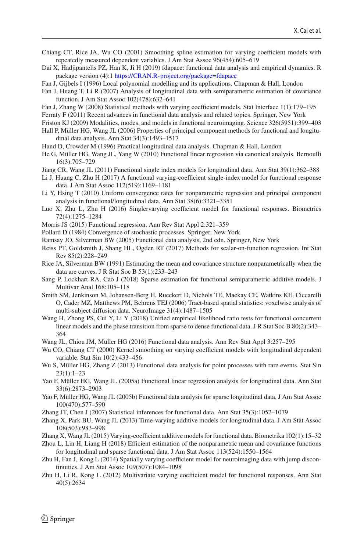- <span id="page-27-16"></span>Chiang CT, Rice JA, Wu CO (2001) Smoothing spline estimation for varying coefficient models with repeatedly measured dependent variables. J Am Stat Assoc 96(454):605–619
- <span id="page-27-28"></span>Dai X, Hadjipantelis PZ, Han K, Ji H (2019) fdapace: functional data analysis and empirical dynamics. R package version (4):1 <https://CRAN.R-project.org/package=fdapace>
- <span id="page-27-22"></span>Fan J, Gijbels I (1996) Local polynomial modelling and its applications. Chapman & Hall, London
- <span id="page-27-27"></span>Fan J, Huang T, Li R (2007) Analysis of longitudinal data with semiparametric estimation of covariance function. J Am Stat Assoc 102(478):632–641
- <span id="page-27-20"></span>Fan J, Zhang W (2008) Statistical methods with varying coefficient models. Stat Interface 1(1):179–195
- <span id="page-27-2"></span>Ferraty F (2011) Recent advances in functional data analysis and related topics. Springer, New York
- <span id="page-27-12"></span>Friston KJ (2009) Modalities, modes, and models in functional neuroimaging. Science 326(5951):399–403
- <span id="page-27-26"></span>Hall P, Müller HG, Wang JL (2006) Properties of principal component methods for functional and longitudinal data analysis. Ann Stat 34(3):1493–1517
- <span id="page-27-0"></span>Hand D, Crowder M (1996) Practical longitudinal data analysis. Chapman & Hall, London
- <span id="page-27-5"></span>He G, Müller HG, Wang JL, Yang W (2010) Functional linear regression via canonical analysis. Bernoulli 16(3):705–729
- <span id="page-27-30"></span>Jiang CR, Wang JL (2011) Functional single index models for longitudinal data. Ann Stat 39(1):362–388
- <span id="page-27-14"></span>Li J, Huang C, Zhu H (2017) A functional varying-coefficient single-index model for functional response data. J Am Stat Assoc 112(519):1169–1181
- <span id="page-27-24"></span>Li Y, Hsing T (2010) Uniform convergence rates for nonparametric regression and principal component analysis in functional/longitudinal data. Ann Stat 38(6):3321–3351
- <span id="page-27-13"></span>Luo X, Zhu L, Zhu H (2016) Singlervarying coefficient model for functional responses. Biometrics 72(4):1275–1284
- <span id="page-27-9"></span>Morris JS (2015) Functional regression. Ann Rev Stat Appl 2:321–359
- <span id="page-27-32"></span>Pollard D (1984) Convergence of stochastic processes. Springer, New York
- <span id="page-27-1"></span>Ramsay JO, Silverman BW (2005) Functional data analysis, 2nd edn. Springer, New York
- <span id="page-27-11"></span>Reiss PT, Goldsmith J, Shang HL, Ogden RT (2017) Methods for scalar-on-function regression. Int Stat Rev 85(2):228–249
- <span id="page-27-25"></span>Rice JA, Silverman BW (1991) Estimating the mean and covariance structure nonparametrically when the data are curves. J R Stat Soc B 53(1):233–243
- <span id="page-27-3"></span>Sang P, Lockhart RA, Cao J (2018) Sparse estimation for functional semiparametric additive models. J Multivar Anal 168:105–118
- <span id="page-27-29"></span>Smith SM, Jenkinson M, Johansen-Berg H, Rueckert D, Nichols TE, Mackay CE, Watkins KE, Ciccarelli O, Cader MZ, Matthews PM, Behrens TEJ (2006) Tract-based spatial statistics: voxelwise analysis of multi-subject diffusion data. NeuroImage 31(4):1487–1505
- <span id="page-27-6"></span>Wang H, Zhong PS, Cui Y, Li Y (2018) Unified empirical likelihood ratio tests for functional concurrent linear models and the phase transition from sparse to dense functional data. J R Stat Soc B 80(2):343– 364
- <span id="page-27-10"></span>Wang JL, Chiou JM, Müller HG (2016) Functional data analysis. Ann Rev Stat Appl 3:257–295
- <span id="page-27-15"></span>Wu CO, Chiang CT (2000) Kernel smoothing on varying coefficient models with longitudinal dependent variable. Stat Sin 10(2):433–456
- <span id="page-27-7"></span>Wu S, Müller HG, Zhang Z (2013) Functional data analysis for point processes with rare events. Stat Sin 23(1):1–23
- <span id="page-27-4"></span>Yao F, Müller HG, Wang JL (2005a) Functional linear regression analysis for longitudinal data. Ann Stat 33(6):2873–2903
- <span id="page-27-23"></span>Yao F, Müller HG, Wang JL (2005b) Functional data analysis for sparse longitudinal data. J Am Stat Assoc 100(470):577–590
- <span id="page-27-17"></span>Zhang JT, Chen J (2007) Statistical inferences for functional data. Ann Stat 35(3):1052–1079
- <span id="page-27-31"></span>Zhang X, Park BU, Wang JL (2013) Time-varying additive models for longitudinal data. J Am Stat Assoc 108(503):983–998
- <span id="page-27-8"></span>Zhang X, Wang JL (2015) Varying-coefficient additive models for functional data. Biometrika 102(1):15–32
- <span id="page-27-21"></span>Zhou L, Lin H, Liang H (2018) Efficient estimation of the nonparametric mean and covariance functions for longitudinal and sparse functional data. J Am Stat Assoc 113(524):1550–1564
- <span id="page-27-19"></span>Zhu H, Fan J, Kong L (2014) Spatially varying coefficient model for neuroimaging data with jump discontinuities. J Am Stat Assoc 109(507):1084–1098
- <span id="page-27-18"></span>Zhu H, Li R, Kong L (2012) Multivariate varying coefficient model for functional responses. Ann Stat 40(5):2634